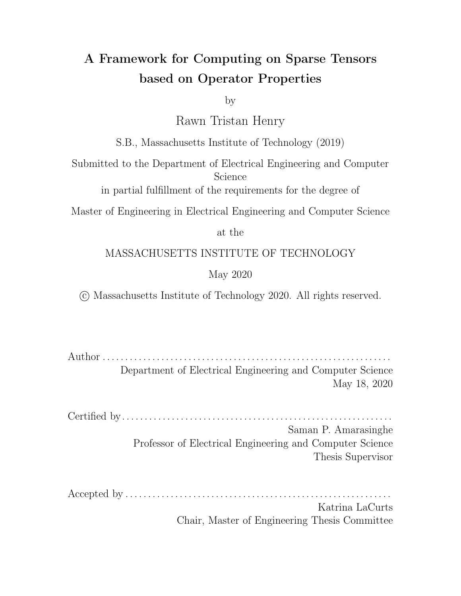## A Framework for Computing on Sparse Tensors based on Operator Properties

by

Rawn Tristan Henry

S.B., Massachusetts Institute of Technology (2019)

Submitted to the Department of Electrical Engineering and Computer Science

in partial fulfillment of the requirements for the degree of

Master of Engineering in Electrical Engineering and Computer Science

at the

#### MASSACHUSETTS INSTITUTE OF TECHNOLOGY

#### May 2020

○c Massachusetts Institute of Technology 2020. All rights reserved.

Author . . . . . . . . . . . . . . . . . . . . . . . . . . . . . . . . . . . . . . . . . . . . . . . . . . . . . . . . . . . . . . . . Department of Electrical Engineering and Computer Science May 18, 2020

Certified by. . . . . . . . . . . . . . . . . . . . . . . . . . . . . . . . . . . . . . . . . . . . . . . . . . . . . . . . . . . . Saman P. Amarasinghe Professor of Electrical Engineering and Computer Science Thesis Supervisor

Accepted by . . . . . . . . . . . . . . . . . . . . . . . . . . . . . . . . . . . . . . . . . . . . . . . . . . . . . . . . . . .

Katrina LaCurts Chair, Master of Engineering Thesis Committee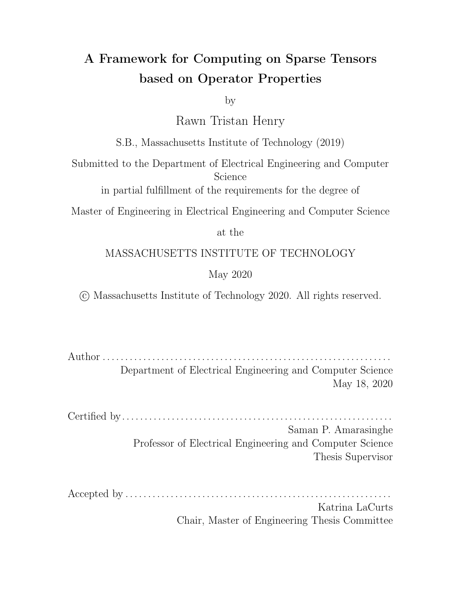## A Framework for Computing on Sparse Tensors based on Operator Properties

by

#### Rawn Tristan Henry

Submitted to the Department of Electrical Engineering and Computer Science on May 18, 2020, in partial fulfillment of the requirements for the degree of Master of Engineering in Electrical Engineering and Computer Science

#### Abstract

Tensor operations have been traditionally limited to addition and multiplication operations. For operations of sparse tensors, these semantics were extended to account for the fact that tensors usually omit zero values. However, there are many operators with a rich semantics of operator properties that can be used in dense and sparse tensor computations.

This work addresses the problem of generating code for computing on a mix of sparse and dense tensors based on the properties of the operators on those tensors. I introduce the concept of a fill value to each tensor so that the data can be sparse on non-zeros. I show how to reason about the operator properties, along with the fill values of the input tensors in order to construct an IR describing how to iterate over these tensors. I show how we can take advantage of the operator properties to perform useful optimizations for both iterating over tensors and performing reductions. Lastly, I show how a user can leverage set notation to directly describe to a compiler how it should iterate over sparse tensors.

The ideas discussed in this work have been prototyped in the open-source TACO system. The API used makes operator properties and tensor fill values have to be explicitly provided by the user. However, it makes the TACO system much more flex $i$ ble. I show how the primitives exposed in this work allows one to e ciently perform several graph algorithms by drawing on the literature about GraphBLAS. In the evaluation section, we benchmark this system against the SuiteSparse implementation of GraphBLAS on a variety of graph algorithms to demonstrate its performance.

Thesis Supervisor: Saman P. Amarasinghe Title: Professor of Electrical Engineering and Computer Science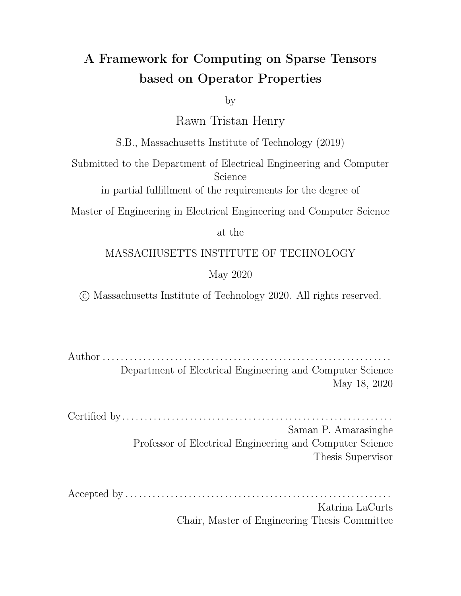## Acknowledgments

I would like to thank my research advisor, Saman Amarasinghe for all of his support over the last year and a half. Additionally, I like to thank Fredrik Kjolstad for his continued mentorship and helpful advice during our time working together. I also would like to thank Stephen Chou for all of the time spent discussing and fleshing out ideas with me. I also want to thank Stephen for seemingly always being available to answer my questions on slack! I consider myself immensely fortunate to be able to work with such devoted and talented individuals and I am very happy to have had the opportunity to learn from all of them. This work would also not have been possible without the discussions and reviews of the following people: Ryan Senanayake, Peter Ahrens, Shaoib Kamil and Amalee Wilson. Thank you so much for all of help!

I would like to thank my best friends, Dylan, Lucas and Bobby as well as my partner, Shalni. You have been the greatest friends and I will always cheerish the moments that we spent together.

But I am most grateful to my mother, Marlene Nicholas. I remember when you defended my desire to be a garbage collector when I was 6 despite fierce opposition from everyone else in our family. It reinforced what I have known my entire life - that I will always have your support. Your unwavering support allowed me to chase my dreams, culminating in me being at MIT, the school of my dreams pursuing a career I have been interested in since I was 15. Thank you for everything you have done for me. You mean everything to me.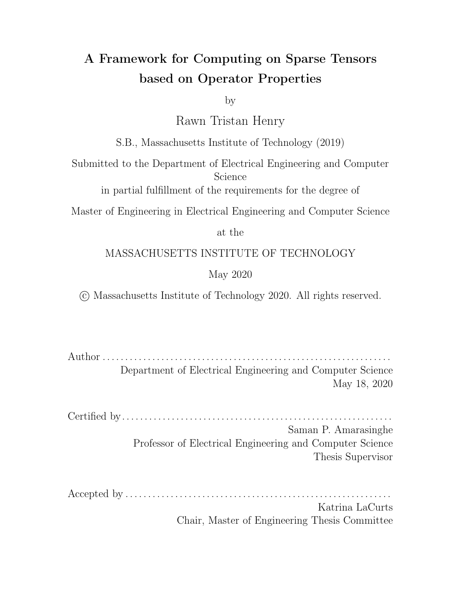# **Contents**

| 1 |                         | Introduction                                                                                                                                                                                                                   |                                                                                                                                      | 15 |
|---|-------------------------|--------------------------------------------------------------------------------------------------------------------------------------------------------------------------------------------------------------------------------|--------------------------------------------------------------------------------------------------------------------------------------|----|
| 2 | Motivating Example      |                                                                                                                                                                                                                                |                                                                                                                                      | 21 |
|   | 2.1                     |                                                                                                                                                                                                                                | .<br>In the company of the company of the company of the company of the company of the company of the company of th<br>Preliminaries | 21 |
|   | 2.2                     |                                                                                                                                                                                                                                |                                                                                                                                      | 22 |
|   | 2.3                     |                                                                                                                                                                                                                                | Linear Algebra Bellman Ford Fast Linear Albert Albert Algebra Bellman Ford Fast Linear Albert Albert Albert Al                       | 26 |
| 3 |                         |                                                                                                                                                                                                                                | Array Index Notation                                                                                                                 | 29 |
| 4 | <b>Iteration Spaces</b> |                                                                                                                                                                                                                                |                                                                                                                                      | 35 |
|   | 4.1                     |                                                                                                                                                                                                                                |                                                                                                                                      | 37 |
|   | 4.2                     | Iteration Lattices with the contract of the contract of the contract of the contract of the contract of the contract of the contract of the contract of the contract of the contract of the contract of the contract of the co |                                                                                                                                      | 40 |
|   |                         | 4.2.1                                                                                                                                                                                                                          | Iteration Lattice Background Factor Advisory Area and Article Background Factor Article Article Article                              | 41 |
|   |                         | 4.2.2                                                                                                                                                                                                                          |                                                                                                                                      | 45 |
|   |                         | 4.2.3                                                                                                                                                                                                                          |                                                                                                                                      | 48 |
|   |                         | 4.2.4                                                                                                                                                                                                                          |                                                                                                                                      | 57 |
|   |                         | 4.2.5                                                                                                                                                                                                                          | Case Lattices and Loop Lattices                                                                                                      | 58 |
| 5 | Properties              |                                                                                                                                                                                                                                |                                                                                                                                      | 61 |
|   | 5.1                     | Operator Properties                                                                                                                                                                                                            |                                                                                                                                      | 61 |
|   | 5.2                     |                                                                                                                                                                                                                                |                                                                                                                                      | 63 |
|   | 5.3                     |                                                                                                                                                                                                                                |                                                                                                                                      | 68 |
| 6 |                         |                                                                                                                                                                                                                                | Code Generation                                                                                                                      | 69 |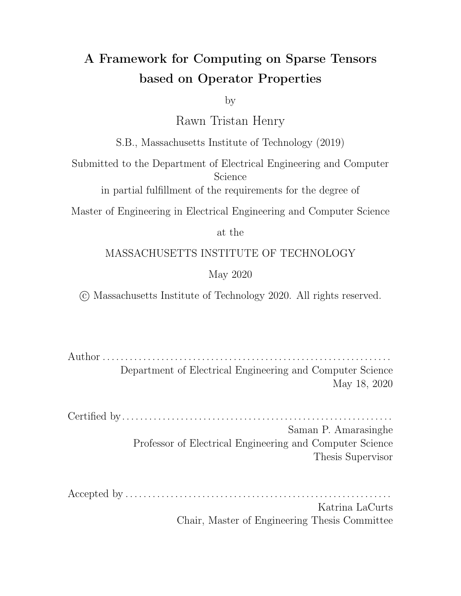|   | 6.1                              | Extracting Algebra from Index Notation Terms and an arrangement<br>69                                                                                                                                                               |    |  |
|---|----------------------------------|-------------------------------------------------------------------------------------------------------------------------------------------------------------------------------------------------------------------------------------|----|--|
|   | 6.2                              |                                                                                                                                                                                                                                     |    |  |
|   |                                  | Explicit and Implicit Fill Values<br>6.2.1                                                                                                                                                                                          | 70 |  |
|   |                                  | 6.2.2                                                                                                                                                                                                                               | 71 |  |
|   |                                  | 6.2.3                                                                                                                                                                                                                               | 72 |  |
|   |                                  | 6.2.4                                                                                                                                                                                                                               | 73 |  |
|   | 6.3                              |                                                                                                                                                                                                                                     | 74 |  |
| 7 |                                  | Operator API                                                                                                                                                                                                                        |    |  |
|   | 7.1                              |                                                                                                                                                                                                                                     | 77 |  |
|   | 7.2                              |                                                                                                                                                                                                                                     | 79 |  |
|   | 7.3                              |                                                                                                                                                                                                                                     | 80 |  |
|   | 7.4                              | API Example descriptions and contract the contract of the contract of the API Example                                                                                                                                               | 81 |  |
| 8 |                                  | Evaluation<br>85                                                                                                                                                                                                                    |    |  |
|   | 8.1                              | Methodology will be a subsequently assumed to the set of the set of the set of the set of the set of the set of the set of the set of the set of the set of the set of the set of the set of the set of the set of the set of<br>85 |    |  |
|   |                                  | Discussion of performance research and contact the contact of the property of the contact of the contact of the<br>8.1.1                                                                                                            | 87 |  |
| 9 |                                  | Related Work<br>91                                                                                                                                                                                                                  |    |  |
|   | 10 Conclusion and Future Work    |                                                                                                                                                                                                                                     |    |  |
|   | A Operator Implementations<br>97 |                                                                                                                                                                                                                                     |    |  |
|   | A.1                              | BFS Pull Implementation Theorem 2014 Contract Contract Contract Contract Contract Contract Contract Contract C                                                                                                                      | 97 |  |
|   |                                  | A.2 BFS Pull Implementation<br>the contract of the contract of the contract of the contract of the contract of the contract of the contract of                                                                                      |    |  |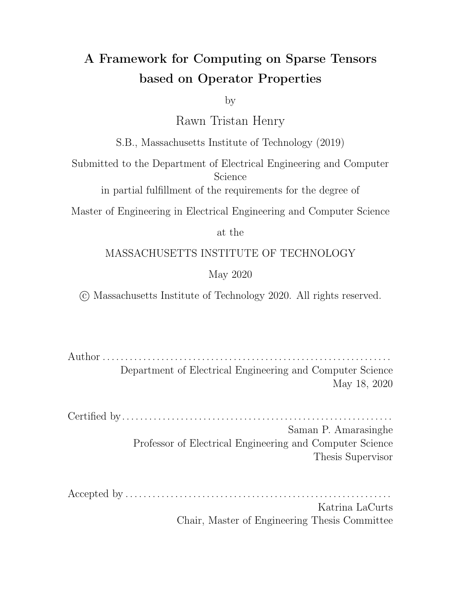# List of Figures

| $1 - 1$ |                                                                                                                | 16 |
|---------|----------------------------------------------------------------------------------------------------------------|----|
| $1 - 2$ |                                                                                                                | 18 |
| $1 - 3$ | Structure of the prototype based on TACO.                                                                      | 19 |
| $2 - 1$ | Sample Code Generated by TACO Alberta Alberta Alberta Alberta State                                            | 25 |
| $3 - 1$ |                                                                                                                | 29 |
| $3 - 2$ | Iteration patterns for the same scalar expression with di erent fill values.                                   | 30 |
| $3 - 3$ | Code for unoptimized element wise vector multiplication [11]                                                   | 32 |
| $4 - 1$ |                                                                                                                | 35 |
| $4 - 2$ |                                                                                                                | 37 |
| $4 - 3$ |                                                                                                                | 37 |
| $4 - 4$ | Venn diagram illustrations for intersection and filter operations                                              | 38 |
| $4 - 5$ | Venn Diagram of Algebra for vector element-wise multiplication with                                            |    |
|         |                                                                                                                | 39 |
| $4-6$   | Code before and after applying simplifications from algebra                                                    | 40 |
| $4 - 7$ |                                                                                                                | 42 |
| $4 - 8$ |                                                                                                                | 42 |
| $4 - 9$ | Iteration regions of $(b\cup c)\cap d$                                                                         | 42 |
|         | 4-10 Iteration domain simplifications as segments run out of coordinates .                                     | 43 |
|         | 4-11 The iterate-and-locate strategy Alberta Alberta Alberta Alberta Alberta Alberta Alberta Alberta Alberta A | 43 |
|         | 4-12 Iteration lattice of $(b\cup c)\cap d$ .                                                                  | 44 |
|         | 4-13 Lattice point segments divide into iterators and locators sets                                            | 44 |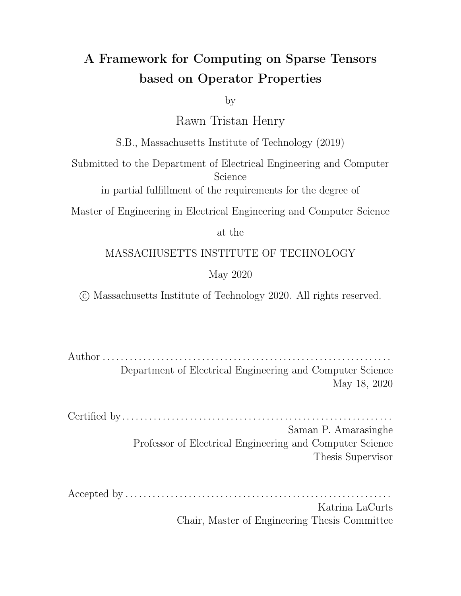|         | 4-14 A sublattice rooted at a lattice point $\mathcal{L}_p$                                                            | 45 |
|---------|------------------------------------------------------------------------------------------------------------------------|----|
|         | 4-15 Iteration lattice and coiteration pseudocode [1]                                                                  | 46 |
|         |                                                                                                                        | 47 |
|         | 4-18 Iteration lattice and coiteration pseudocode Taman and a subset of the set of the set of the set of the s         | 48 |
|         | 4-19 General Lattice Structure for an arbitrary binary operation                                                       | 49 |
|         | 4-20 Lattice for XOR from general binary template                                                                      | 49 |
|         | 4-21 Iteration lattices of a segment expression with the context of the context of the 21 Iteration and 4-21 Iteration | 50 |
|         |                                                                                                                        | 51 |
|         | 4-23 Example lattices for the first case of the Intersection rule                                                      | 52 |
|         | 4-24 Example lattices for the second case of the Intersection rule with the                                            | 53 |
|         | 4-25 Example lattices for the first case of the Union rule with the results                                            | 54 |
|         | 4-26 Example lattices for the second case of the Union rule                                                            | 55 |
|         |                                                                                                                        | 57 |
|         |                                                                                                                        | 58 |
|         |                                                                                                                        | 59 |
| $5 - 1$ | Example lattice with and without generating an algebra based on a                                                      |    |
|         |                                                                                                                        | 64 |
| $5 - 2$ | Example lattice with and without generating an algebra based on a                                                      |    |
|         |                                                                                                                        | 65 |
| $5 - 3$ | Example lattice with and without generating an algebra based on a                                                      |    |
|         |                                                                                                                        | 66 |
| $6 - 1$ | Extracting Iteration Algebra from Expression Tree                                                                      | 70 |
| $6 - 2$ | Cases generated for a symmetric di erence lattice                                                                      | 73 |
| $6 - 3$ | Example of how the code generator handles emitting cases.                                                              | 73 |
| $6 - 4$ | Two loop ordering for the same expressions showing when the compiler                                                   |    |
|         |                                                                                                                        | 76 |
|         |                                                                                                                        |    |
| $7-1$   | Code for computing symmetric di erence with sparse tensors.                                                            | 83 |
| $8 - 1$ | Comparison of TACO on BFS with and with masking and short circuiting 87                                                |    |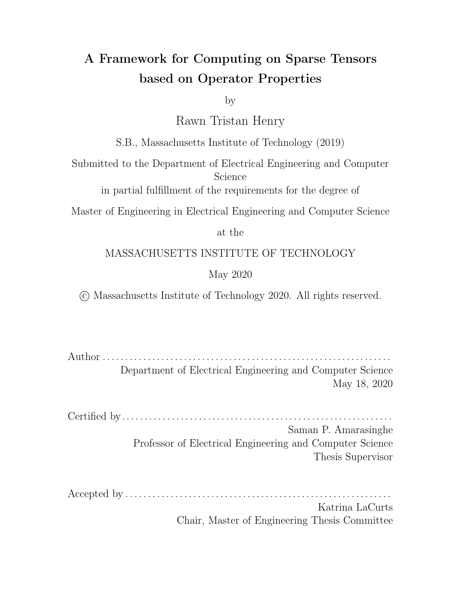|  |  |  | 8-2 Sparse vector times sparse matrix kernel www.assage.com/serverset.com/s99 |  |
|--|--|--|-------------------------------------------------------------------------------|--|
|--|--|--|-------------------------------------------------------------------------------|--|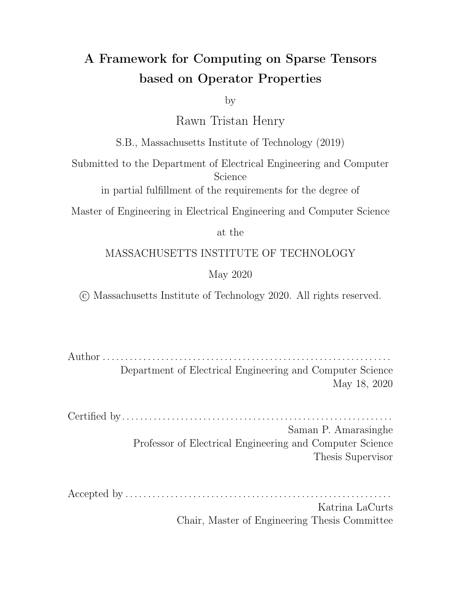# List of Tables

| 8.1 Description of Graphs used in Evaluation 86                       |  |
|-----------------------------------------------------------------------|--|
| 8.2 Summary of timing method for each algorithm evaluated 86          |  |
| 8.3 Time in seconds for running BFS on each framework 88              |  |
| 8.4 Million traversed edges per second (MTEPS) for each framework. 88 |  |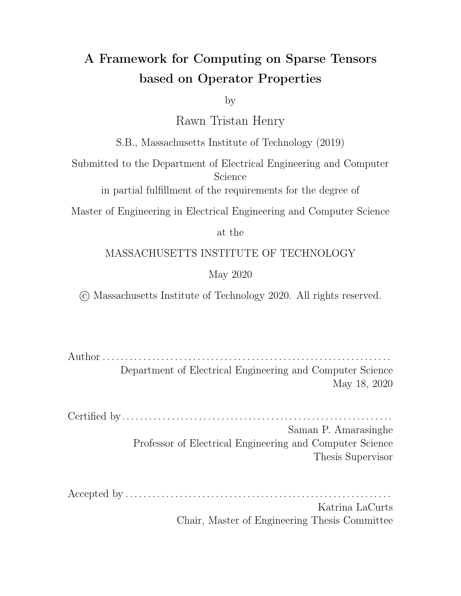# Chapter 1

## Introduction

Graph algorithms have been traditionally performed using special frameworks such as Ligra [31], GraphIt [41] and Gunrock [38]. There has recently been a push to use linear algebra primitives to support graph algorithms [10, 19]. Unfortunately, the current work on sparse compilers cannot be leveraged to  $e$  ciently perform these algorithms due to three key missing features. The first is that current sparse compilers always assumes that tensors are sparse over zero. Secondly, sparse compilers are limited to using the  $(+, \times)$  semi-ring which limits their applicability. Lastly, sparse compilers can only e ciently perform expressions that require iterating over the union or intersection of the operands of an operator.

In this thesis, I propose solutions for all three of the previously mentioned problems and also develop a framework for allowing computation outside of normal semi-rings. This will allow works by Kjolstad et al. on the Tensor Algebra Compiler (TACO) [21, 20, 12] to be used to tackle a broader set of problems. For example, this work allows Breadth First Search, Page Rank, Floyd-Warshall, Bellman-Ford and Triangle Counting graph algorithms to all be in expressed TACO by defining the appropriate semi-rings [19]. Some of these algorithms assume that the matrices and vectors are sparse over  $\infty$  instead of 0 illustrating examples where non-zero sparsity is desired. Additionally, the Viterbi algorithm which is used extensively in communication and speech recognition can be expressed over a  $(min, +)$  semi-ring [35] and will now be expressible in TACO. This work, in addition to TACO's scheduling language [30]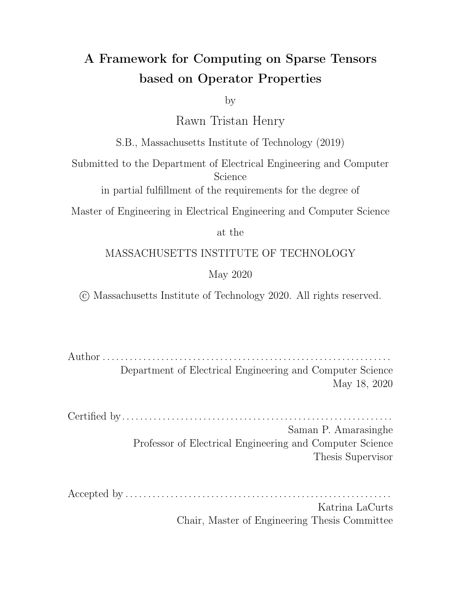could allow users to achieve good performance on a wide variety of hardware for graph and machine learning applications.



(a) XOR operation as it would be performed in current TACO. The compiler would iterate over the Union of  $B$  and  $C$  and produce explicit zeros in the result matrix A. This is due to the fact that the loop structures the compiler can generate only supports unions and intersections.



(b) XOR operation as it would be performed by TACO after it is modified by this work. The compiler can support iterating over the union of  $B$  and  $C$  while excluding the intersection. This helps to reduce the memory footprint of the result tensor.

Figure 1-1: XOR with explicit zeros stored (top) vs without (bottom)

Current sparse compilers tie the optimizations they support to specific operations. An example of this is that when adding two sparse tensors  $A$  and  $B$ , the compiler only needs to iterate over the union of  $A$  and  $B$  and can omit iterating over the space where both  $A$  and  $B$  are 0. While this is great for most cases it limits the generality of the current sparse compiler approach. Current compilers only support union and intersection operators meaning that they cannot cleanly support an operation such as an exclusive or. This leaves some performance on the table for such an operation since for a sparse result, one ends up storing needless explicit zeros in the result tensor as shown in Figure 1-1. As a result, I will first show how we can generalize the current compiler approach to generate code to iterate over any set expression. I will then show how we can decouple the implementation of the scalar operator with its iteration pattern. I will also demonstrate how a compiler can reason about the properties of scalar operations along with the fill values of the input tensors in order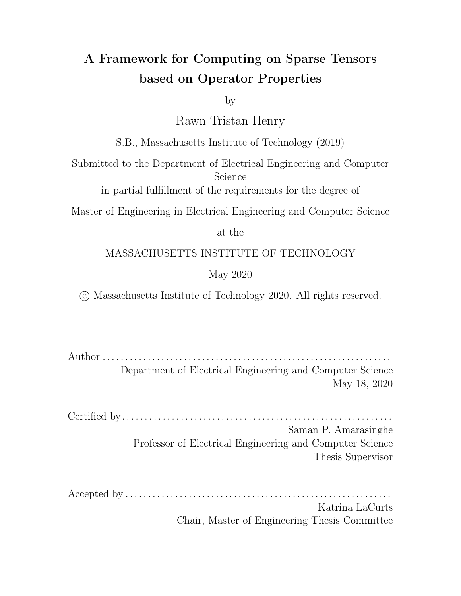to automatically infer the iteration pattern it should use when computing the result. Lastly, I will generalize the ideas in the sparse compilation literature to allow for a tensor to be sparse on any value of the primitive types that the compiler supports. The value compressed out of the tensor will be referred to as the fill value from here onward. These new mechanisms will allow sparse compilers to be applied to a much larger variety of domains.

I have prototyped these ideas in the open-source TACO sparse tensor algebra compiler [21] which generates code for any sparse tensor algebra expression. The structure of the prototype is shown in Figure 1-3. I expose the abstractions described here by extending the tensor Index Notation in TACO to include a new generic operator class. This class takes in a scalar description of the operation along with its properties as well as an algebra to describe the iteration space. This provides a clean interface which decouples the scalar computation from the iteration pattern. Figure 1-2 shows the set patterns that TACO can now iterate over as a result of this work for binary operators. Prior to this work, only the two patterns above the red line in Figure 1-2 could be iterated over by the compiler for binary operators. However, it is now possible to generate code that iterates over all 16 of the possible subsets described in Figure 1-2 for binary operators. Further, this work generalizes to an arbitrary number of sets meaning that the prototype can now generate code that iterates over any subset of tensors given as operands to an operator. My specific contributions are as follows:

- 1. Introduce the ability to define generic semi-ring and array operations in TACO,
- 2. Extend the TACO IR called merge lattices [21] or iteration lattices [22] so that any set can be represented in the new IR instead of only intersections and unions as shown in Figure 1-2,
- 3. Demonstrate that iteration patterns and optimizations such as short circuiting can be inferred from operator properties, and
- 4. Generalize tensors to allow them to be sparse over any value instead of just zero,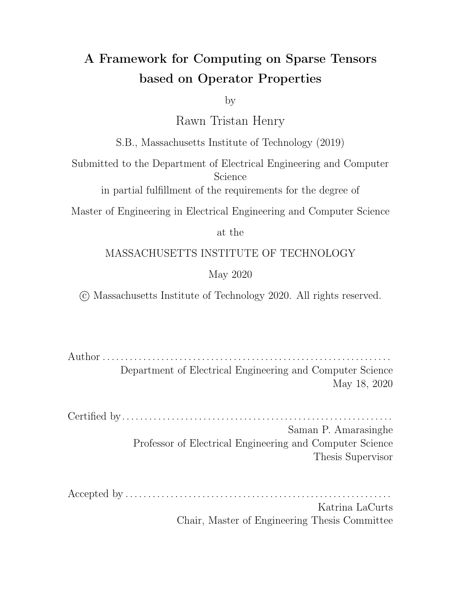

Figure 1-2: Figure showing binary sets one may iterate over excluding sets that include the universe. Previous work can only emit code to iterate over the sets above the red line. This work adds the 6 other set iteration patterns along with the 8 not shown that include the universe. In total, the remaining 14 of 16 binary iteration patterns can all be expressed with the addition of this work. The ideas expressed in this thesis also generalizes to an arbitrary number of sets.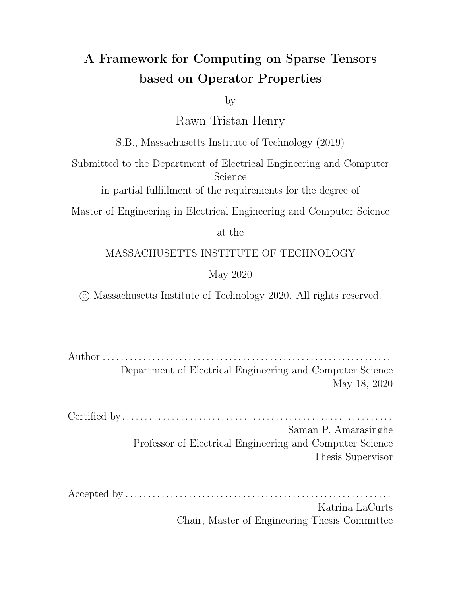

Figure 1-3: The structure of the prototype based on the Tensor Algebra Compiler (TACO). The user specifies the result in index notation along with a format and optionally a schedule. TACO transforms these through various intermediate representation before generating code that can be used to compute the expression on input tensors. The parts of TACO heavily modified in this work are highlighted in blue. This work adds two new components - operator properties and iteration algebra. The fact that the iteration algebra can be specified separately is what allows this work to separate the scalar computation from the actual loop structure generated.

The rest of this thesis is organized as follows:

Chapter 2 - Motivating Example describes two example problems and how the general ideas in this work allows TACO to be used to solve these problems. I describe a Direction Optimizing Breadth First Search [5, 40] and an algebraic bellman-ford formulation [19] and how this work allows TACO to solve these problems.

Chapter 3 - Array Index Notation describes a generalized language for computing on sparse arrays.

Chapter 4 - Iteration Spaces describes iteration spaces and the extensions to iteration space algebra and iteration lattices. These intermediate representations are crucial to the generality this work aims to achieve.

Chapter 5 - Properties describes the properties of operators supported in the prototype and how they influence iteration spaces. An explanation of how to infer iteration spaces from the scalar properties is described along with some limitations of only relying on properties. Demonstrates that there are some iteration spaces that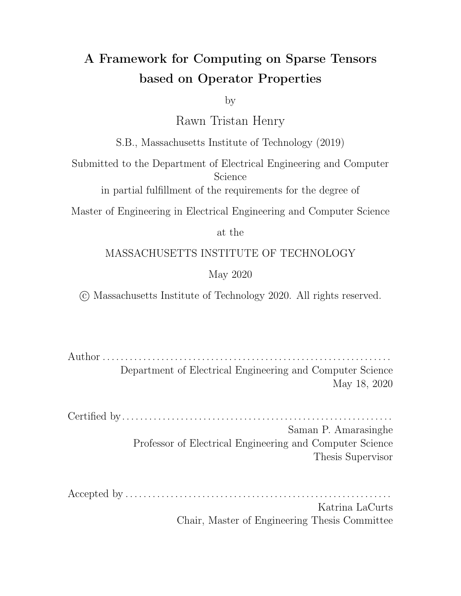cannot be derived from operator properties alone.

Chapter 6 - Code Generation describes extensions to the TACO code generator to support the new IR as well as the new construction rules for iteration lattices.

Chapter 7 - Operator API describes the interface provided for defining new generic operators to TACO.

Chapter 8 - Evaluation compares the performance of the generated code to a GraphBLAS library, SuiteSparse for the linear algebra graph algorithms and against hand-tuned works where available.

Chapter 9 - Related Work discusses this work in the context of previous work done with sparse tensor compilation.

Chapter 10 - Conclusion and Future Work concludes and provides guidance for future extensions of this work.

Appendix A - Operator Implementations provides the implementations of the operators used in this thesis.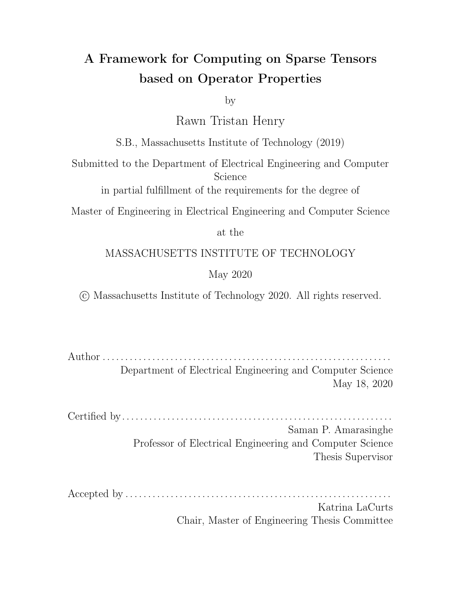# Chapter 2

# Motivating Example

In this chapter, I demonstrate a potential use case of this framework. I show how one can use the general ideas here to execute two sample graph algorithms - breadth first search and a single source shortest path (sssp) algorithm. This work enables taco to perform two new general optimizations needed to get good performance on graph algorithms performed using linear algebra. Firstly, this work allows TACO to perform masking on both sparse and dense tensors. This means that the compiler can skip performing computations based on the value of the mask. An example of this is seen in BFS allowing TACO to omit computing entire dot products. Secondly, this work allows TACO to realize when it can short circuit reductions. BFS also illustrates an example of this optimization. The ideas in this thesis also allow the expression of new algorithms that were not possible before (sssp) by taking advantage of the fact that the fill values of the tensors can be user specified.

### 2.1 Preliminaries

A monoid is a set  $A$  with a single associative binary operator and an identity element. For example, the real numbers R under binary addition. From the definition, the set is the real numbers R, the binary operator is addition and the identity element is 1. A semiring is a set S along with two binary operators ⊕ and ⊙. These operators must have the following algebraic properties: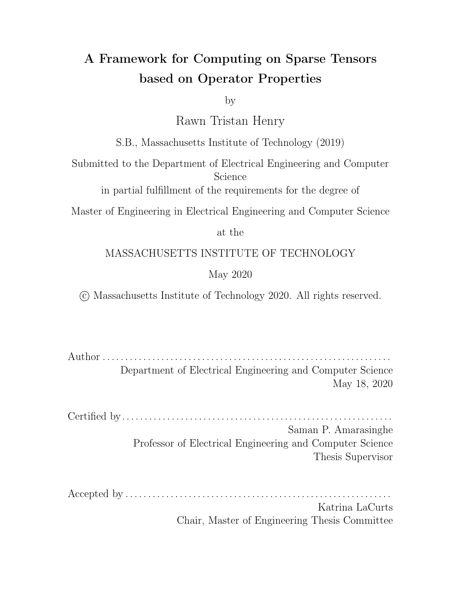- 1.  $(S, \oplus)$  is a commutative monoid.
- 2.  $(S, \odot)$  is a monoid
- 3. ⊙ distributes over ⊕
- 4.  $\oplus$  is annihilated by the identity element of  $\oplus$ .

In this work, I use the notation  $(\oplus, \odot, S)$  to denote a semi-ring. When S is omitted, I assume that it is the real numbers. Examples of semi-rings are  $(+, \times)$ , (min<sub>i</sub>+) and (max; +). An example of a semi-ring not over the reals is  $(\wedge, \vee, B)$  where B is only contains the elements  $\{0, 1\}$ .

#### 2.2 Linear Algebra Breadth First Search

I consider the breadth-first search (BFS) on graphs  $G(V; E)$  where V is the set of vertices in G and E is the set of all ordered pairs  $(u, v)$  with  $u, v \in V$ . A BFS on a graph  $G$  is an exploration of the graph that starts at some source node and explores nodes at a the current depth level before moving to nodes at the next depth level. The depth level is the number of edges needed to be traversed to get from the source to the current set of nodes. For example, the source has a depth level of 0 and all neighbors of the source have a depth of one since there is one edge the source and its neighbors them. The algorithm terminates when no new vertices can be reached from the current depth level.

There are two ways in which one can perform a breadth first search. The first is by "push" or "top-down" which is the traditional way a BFS is performed. This means that we start from a frontier of vertices and add all of the unvisited neighbors of the frontier to the next frontier. The second is "push" or "bottom-up" meaning that we start at all unvisited nodes and attach an unvisited node to the frontier if there is an edge from the frontier to that node.

Both versions of BFS can be expressed using sparse linear algebra. Graphs are usually stored as adjacency matrices of size  $V \times V$  with a one in the cell  $(u, v)$  if there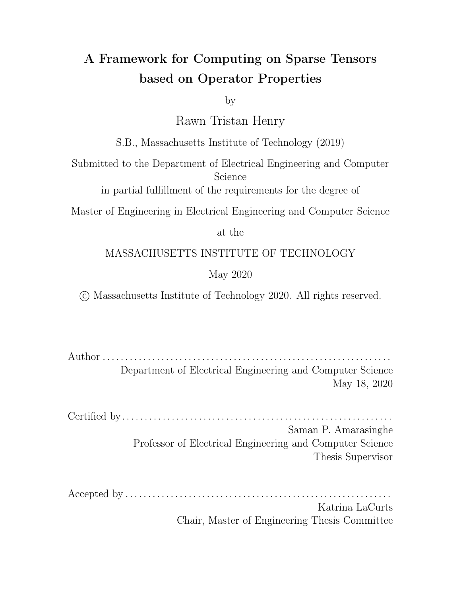is an outgoing edge from  $u$  to  $v$ . So, the rows of the matrix contain the source nodes for each edge while the columns of the matrix consists of the destination nodes for the edges. Usually, most nodes only have a few neighbors so the adjacency matrix representation is usually sparse containing only  $E$  edges where  $E \ll |V|^2$ . I will use  $\mathcal A$ to refer to the adjacency matrix representation of the graph from this point onward.

For the linear algebra formulation of the problem, a vector  $f$  is used to represent the current frontier. Typically, we want the frontier vector  $f$  to be sparse when there are only a few vertices available. This allows one to iterate over the vector to find the neighboring vertices of those in the frontier by querying the graph. That is, we want to find all of the destination nodes that can be reached from every vertex  $$ in the frontier. This is the push direction and corresponds to reading a row of the adjacency matrix A since row u has all the outgoing edges of the vertex u. Since A is sparse, then for the push direction, we want  $A$  to be stored as a CSR matrix so that the rows can be quickly queried. In the literature, the adjacency matrix  $\bm{A}$  is usually transposed and stored in the CSC format (which is the same as storing  $A$  in CSR) so that the sparse vector times sparse matrix (SpVSpM) kernel can be applied to perform the push step.

However, once the frontier gets large it is beneficial to store its dense representation and to try to attach unvisited nodes to the frontier. Intuitively, this is because once the frontier is large enough, there may be more edges going into it than going out meaning that if we switch directions, less edges need to be traversed. In this scheme, we iterate over the graph to find the source of an edge  $u$  given its destination vertex . Since all the sources of a given vertex are in the columns of the adjacency matrix, it is beneficial to store  $A$  as a CSC matrix for this scheme. This is the pull direction. Generally, graph frameworks keep both the CSC and CSR versions in memory when a graph is not symmetric. Again in the literature, the original adjacency matrix is often transposed and stored as a CSR matrix so that the well studied sparse matrix times dense vector (SpMV) kernel can be applied.

In matrix algebra, both directions perform the expression  $v = A^T \times f$ . The only di erence is that in the push direction, the vectors  $v$  and  $f$  are sparse while  $A^{\tau}$  is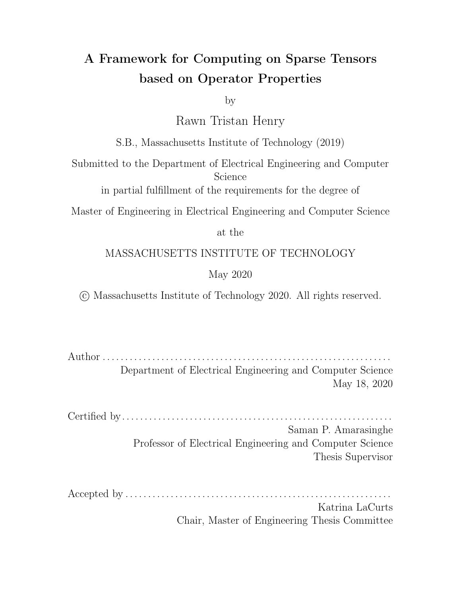stored in the CSC format. However, in the pull direction, the vectors  $v$  and  $f$  are dense and  $A^{\tau}$  is stored in the CSR format.

For both directions, BFS implementations use the  $(\vee,\wedge,\vee)$  semi-ring [40]. Both versions also update an dense vector tracking the earliest depth at which each node was seen. A depth of 0 means the node is unvisited. This vector doubles as a mask that can be used to avoid doing work for vertices that have already been visited.

State of the art work uses both directions during the BFS iterations depending on heuristics to determine which would be more beneficial. TACO can already perform this optimization by using the same expression but with dievent formats. However, the pull direction leaves opportunities for optimization on the table. Namely:

- 1. There is no way to instruct the framework to only try to attach unvisited nodes to the frontier without explicitly storing a sparse mask of all the unvisited nodes. Current work already tracks the set of visited vertices in a dense vector and updates this set after each iteration. This work in this thesis introduces general iteration spaces allowing a user to express this masking optimizations in terms of iteration spaces.
- 2. Once we find that a node can be attached to the frontier, we can exit the inner product early. TACO has no way to currently recognize this and perform this optimization. This work solves this by allowing TACO to reason about operator properties.

The code TACO would currently generate to perform an iteration of BFS in the pull direction is shown in Figure 2-1a. The code in Figure 2-1b demonstrates optimization one which is referred to ask masking [40]. We avoid expanding any visited edges which wastes work on unneeded dot products while reusing the dense visited vector. Chapter 4 describes the concept of iteration spaces which allows a user to express concepts like this to the compiler.

The code in Figure 2-1c demonstrates optimization two applied to the kernel. This optimization allows early exit from the dot product and lead to the biggest speedup in the performance of the pull direction of BFS [40]. TACO can realize this if a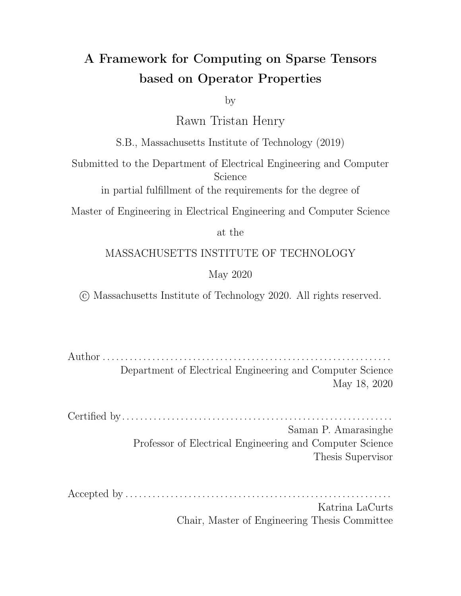```
for(int32 t i = 0; i < f dimension; i++) {
    for(int32_t jA = A_pos[i]; jA < A_pos[(i+1)]; jA++){
        int32 t j = A crd[iA];v_vals[i] = v_vals[i] + A_vals[jA] * f_vals[j];\}\mathcal{F}
```
(a) Normal SpMV

```
for(int32_t i = 0; i < f_dimension; i++) {
    if(!(\text{visited_values}[i] != 0)) {
        for(int32_t jA = A_pos[i]; jA < A_pos[(i+1)]; jA++){
             int32_t j = A_c r d[jA];v_vals[i] = v_vals[i] + A_vals[jA] * f_vals[j];\}\mathcal{F}\}
```
(b) SpMV with mask. Note that the dot product is performed only when visited\_vals is 0 since we do not need to try to attach a node that has already been visited to the next frontier.

```
for(int32_t i = 0; i < f_dimension; i++) {
    if(! (visited_values[i] != 0)) {
        for(int32_t jA = A_pos[i]; jA < A_pos[(i+1)]; jA++){
             int32_t j = A_c r d[jA];v_{vals}[i] = v_{vals}[i] + A_{vals}[jA] * f_{vals}[j];if (v_{vals}[i] == 1) {
                 break;
             \mathcal{F}\}\}\}
```
(c) SpMV with masking and short circuiting

Figure 2-1: Code showing several ways SpMV can be used to perform one BFS step. All of the matrices are assumed to be sparse and stored in the CSR format. In the above, A is assumed to be the transposed adjacency matrix, v is assumed to be the next frontier and f is assumed to be the current frontier. Additionally, there is a dense visited vals vector which stores the lowest depth at which each vertex was seen.

user replaces + with | and  $\times$  with & so that we perform the computation on the Boolean semi-ring. The graph interpretation of exiting early is that once we know an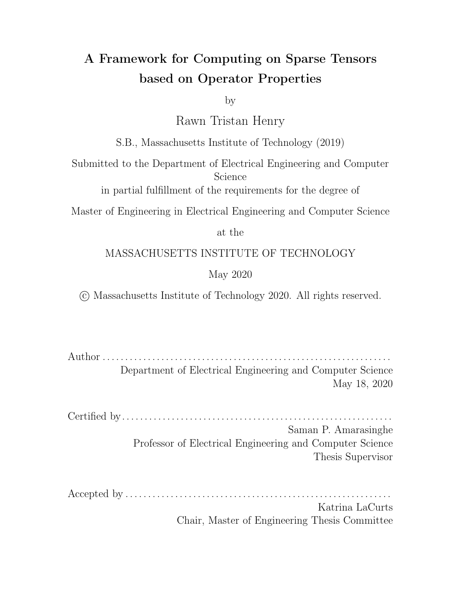unvisited vertex can be attached to the frontier by one edge, we are sure that we can add it to the next frontier and can stop exploring other edges incident to that vertex. The linear algebra justification is that the OR operator has an annihilator of 1. An annihilator of an operator has the property that  $a$  op  $x = a \forall x$ . Therefore once the reduction value ends up being 1, we can be sure the result of the reduction will be 1 since no other value can cause it to change.

While the code in Figure 2-1a can already be generated, the ideas presented in this thesis allows the compiler to generate the implementations shown in the rest of the code in Figure 2-1. Next, I describe another graph algorithm that leverages one more feature of this work.

#### 2.3 Linear Algebra Bellman Ford

The Bellman-Ford algorithm solves the single source shortest path problem (sssp). Given a graph  $G(V; E)$  with edge weights w and a source  $s \in V$ , the algorithm determines the shortest path distances  $(s, v)$  for all  $v \in V$  and the corresponding paths assuming that there are no negative weight cycles.

Intuitively, Bellman-Ford proceeds by performing a series of edge relaxations. For each vertex v it stores an estimate  $d(v)$  for the shortest path distance maintaining the invariant that  $d(v) \ge (s, v)$ . Relaxing an edge  $(u, v)$  means that  $d(v) = min(d(v),$  $d(u)$  +  $W(u; v)$ ) where W is the adjacency weight matrix for the graph. |V| iterations are performed and every iteration relaxes every edge in the graph.

In algebra terms, relaxing all edges incident on a vector  $\nu$  can be expressed as:

$$
k(s; v) = min_{u} (k_1(s; u) + W(u; v))
$$

where  $k$  represents the shortest path using at most  $k$  hops. This is kept in the distance estimate vector  $d$ . Therefore, the above can be translated to a dot product between  $d$  and a row of the weight matrix  $W$  where we reduce using min and replace the usual  $\times$  with the + operator. Unlike usual operators,  $\infty$  annihilates + and also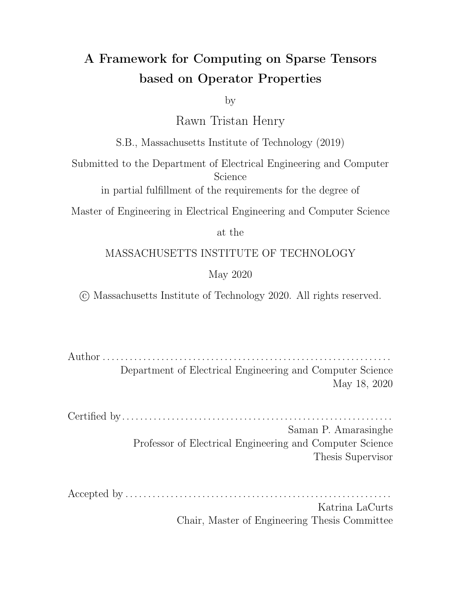is the identity of min. Therefore, our tensors must be sparse over  $\infty$  for TACO to realize that it only needs to iterate over the defined values in  $W$  when performing this dot product. The initial distance estimate  $d$  is initialized as follows:

$$
d_0(v) = \begin{cases} 8 \\ \geq 0 \\ \geq 0 \end{cases}
$$
 if  $v = s$   
 $\geq \infty$  otherwise

The algorithm computes the SpMV expression  $d_k = d_{k-1}$  min :+ W for N iterations then terminates. The notation ⊕.⊙ implies that we are operating on a semiring with ⊕ as the usual plus operator and ⊙ as the usual multiply operator. The structure of the code is exactly the same is shown in Figure 2-1a except the plus and multiply operators are replaces with min and + respectively in the code above. TACO now recognizes this by reasoning about fill values and operator properties. This shows the benefit of TACO being able to reduce and compute on arbitrary scalar operators based on their properties.

Like BFS, it is also crucial that the algebraic Bellman-Ford changes direction. It uses a SpVSpM algorithm when the input vector is sparse then switches to SpMV when the number of non-zeros in the input vector is above some threshold. In order to switch correctly, TACO must use the general fill value of the sparse vector so that the dense vector is correctly defined everywhere its sparse representation was missing a value.

Finally, Bellman-Ford also benefits from the general concept of masking but in a different form to the one shown in BFS. In Bellman-Ford, active vertices are those whose shortest path weights changed during the previous iteration of the algorithm. We only need to consider active vertices when performing a relaxation since other edge weight would have been accounted for in previous iterations. This means that ideally, when performing  $d_k = d_{k-1}$  min : + W that the vector  $d_{k-1}$  only consists of vertices that changed during the previous iteration since this is the only new information we need to take into consideration.

To make the discussion of masking clearer, I introduce a temporary  $t$  so that  $t = d_{k-1}$  min : + W. Now setting  $d_k$  to be the active vertices is done as follows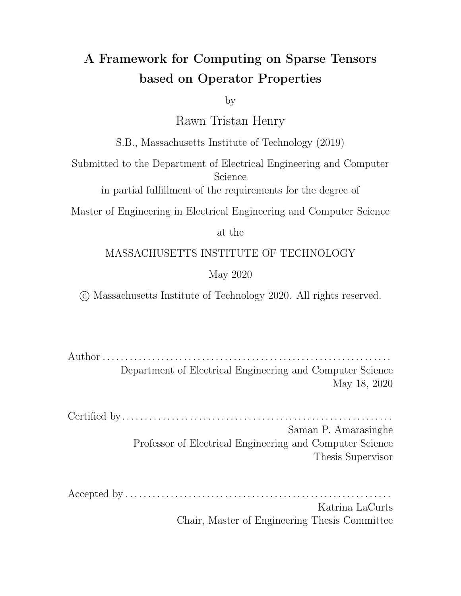$d_k = t \times (t < d_{k-1})$  so now  $d_k$  only consists of vertices that were updated. I note again that having properties allows TACO to realize that for the mask sub-expression  $(t < d_{k-1})$ , it only needs to iterate over the union when t and  $d_{k-1}$  are sparse over ∞. Additionally, a new multiply operator can be defined to perform final masking multiply with  $\infty$  as the annihilator so that TACO can set  $d_k$  to the intersection of the mask and  $t$ .

The examples shown in this chapter demonstrate how the general ideas expressed in this work can be applied to graph algorithms. General iteration spaces and fill values are two key elements that allow TACO to be extended to this domain. The rest of this thesis describes how this generality is achieved in TACO and the APIs through which it can be used.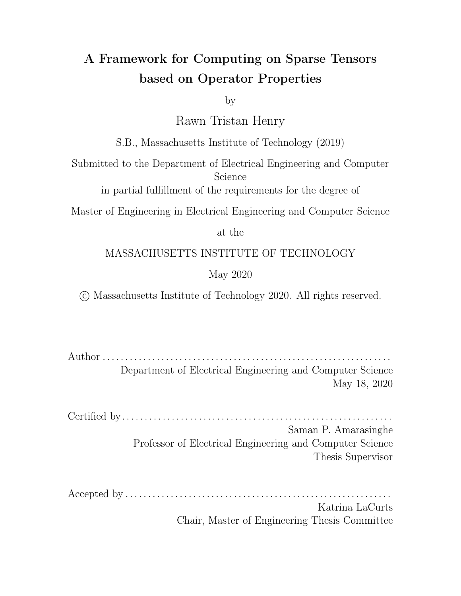## Chapter 3

## Array Index Notation

Tensor Index Notation [21] is a tensor language where an indexed assignment describes how each component on the left-hand side relates to an expression of the operands on the right-hand side as shown in Figure 3-1. The expressions on the righthand sides consist of tensor operands indexed by index variables, scalar operators that combine the indexed tensors, and reduction expressions that introduce an index variable that is reduced (e.g., summed) over. An index variable is a variable that is bound to a set of coordinate values in the corresponding tensor modes. For example, in Figure 3-1, the index variable *i* is bound to coordinates in mode zero of  $\bm{A}$  and mode zero of  $B$  while *I* corresponds to coordinates in mode two of  $A$  and mode one of  $C$ .

$$
A_{ij1} = \begin{cases} \n\times & \text{if } A_{0,3,1} = \frac{1}{k} \\
1 & \text{if } A_{0,3,1} = \frac{1}{k} \\
1 & \text{if } A_{0,3,k} \n\end{cases}
$$

Figure 3-1: A tensor index notation example of a 3-order tensor multiplied by a matrix. The second expression shows, with indices separated by commas, the expression that describes the component of  $A$  at location  $(0, 3, 1)$ .

Array Index Notation is an extension to Tensor Index Notation [22]. It allows a user to perform arbitrary operations on sparse or dense arrays. The main di erence between the two notations is that Tensor Index Notation bundles the iteration pattern with the operator and assumes that all input tensors are sparse over zero. An example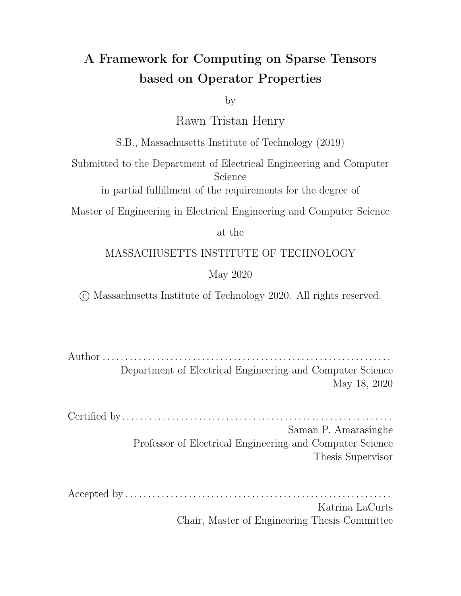```
int32_t pal = al_pos[0];
int32_t pal_end = al_pos[1];
int32_t pb1 = b1_pos[0];
int32_t pb1_cend = b1_pos[1];while (pal < pal_end & pbl < pbl_end) {
 int32_t ia = al_crd[pal];
  int32_t ib = b1_crd[pb1];
  int32_t i = TAC0_MIN(ia, ib);if (ia == i && ib == i) {
   c_vals[i] = a_vals[pal] * b_vals[pb1];\}pal += (int32_t)(ia == i);pb1 == (int32_t)(ib == i);\mathcal{E}
```
(a) Code for  $c_i = a_i \times b_i$  where a and b are sparse over  $0$  and  $c$  is dense

(b) Code for  $c_i = a_i \times b_i$  where a is sparse over 0 and  $b$  is sparse over 1

Figure 3-2: Iteration patterns for the same scalar expressions  $c_i = a_i \times b_i$  where the value compressed out is changed. Tensor Index Notation always generate the code in (a) whereas Array Index Notation can generate code in both (a) and (b).

of this is when performing a sparse vector-sparse vector multiply  $c_i = a_i \times b_i$ , the  $\times$ operator always assumes that it only needs to iterate over the intersection of the two vectors. The code that would be emitted is shown in Figure 3-2a. This is because the result would be 0 when either of the input tensors is 0. However, tensors could be sparse over any value meaning that the assumptions made by the operators in Tensor Index Notation cannot generalize to cases where arbitrary values are missing. For example, if only  $a$  was sparse over 0 but  $b$  was sparse over 1, then the compiler would need to iterate over just  $a$  instead of the intersection. The code for this case is shown in Figure 3-2b.

To solve this problem, Array Index Notation introduces a generic operator that decouples the computation from the iteration pattern. Thus, Array Index Notation is simply tensor index notation with at least one generic operator used in the expression. In its simplest form, an operator can be described by just a scalar computation to be done for each value of a sparse array including the value that has been compressed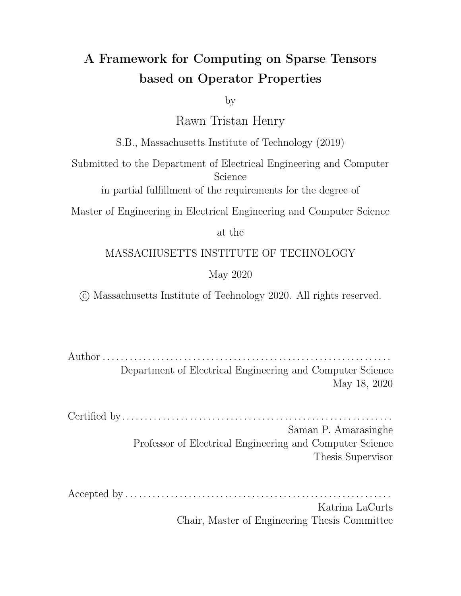out. This computation is defined via a functor that is passed into the generic operator. For example, we can define and use a generic multiply operator as shown below. The last value in the tensor constructor is the value compressed out which defaults to zero.

```
struct MulImpl {
 ir::Expr operator()(const std::vector<ir::Expr> &v) {
   return ir::Mul::make(v[0], v[1]);
 }
};
IndexVar i;
Tensor<double> c("c", {10}, {Dense};
Tensor<double> a("a", {10}, {Compressed});
Tensor<double> b("b", {10}, {Compressed}, 1);
Op mulOp(MulImpl());
c(i) = \text{mulOp}(a(i), b(i));
```
Using this simple form causes the compiler to generate correct but ine cient code since it assumes it needs to perform computations at every coordinate including those where both  $a$  and  $b$  are missing values. In those cases, it generates the expression given but replaces  $\hat{a}$  and  $\hat{b}$  with their missing values. An example of the code that would be generated in this case is shown in Figure 3-3. In order for the operator to generate the code shown in Figure 3-2b one needs to add properties to the operator. These are explained in detail in Chapter 5 and Chapter 6 but I used them here for illustration. One would only need to change the instantiation of the Op to the following:

Op mulOp(MulImpl(), {Annihilator(0), Commutative});

From this, the compiler can infer that when any input expression is 0, the operator returns 0. It can use this knowledge to decide what iteration pattern is required. The compiler uses this information to enable it to generate the code shown in Figure 3-2b instead of the suboptimial code in Figure 3-3.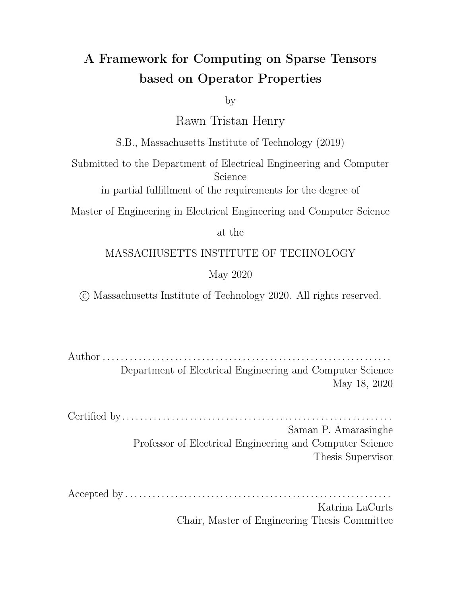Figure 3-3: Code showing unoptimized versions of sparse vector-sparse vector multiply. The compiler has applied no optimizations to the compute code in the sparse example above. Later chapters will discuss this snippet showing how the compiler can optimize this code given the properties and algebra defined in the operator.

In addition to the properties, the generic operators introduced with array index notation also allows the user to specify an iteration algebra that describes the iteration pattern. This is described in Chapter 4 but I mention them here to give the reader a full overview of generic operators.

Array Index Notation extends Tensor Index Notation by introducing generic operators. These operators can be defined by just specifying a scalar operator. However,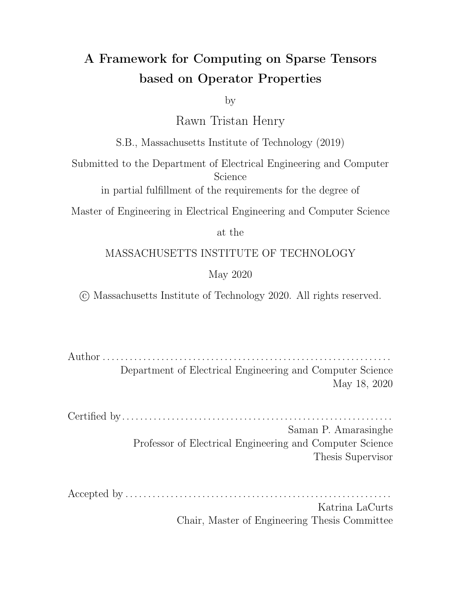supplying properties and iteration algebra to the operator allows the compiler to emit e cient code over the scalar computation when computing on sparse tensors. In the rest of this thesis, I describe the iteration algebra and properties that are tagged with the generic operator's scalar definition and how it all comes together in order to generate code that computes over sparse arrays.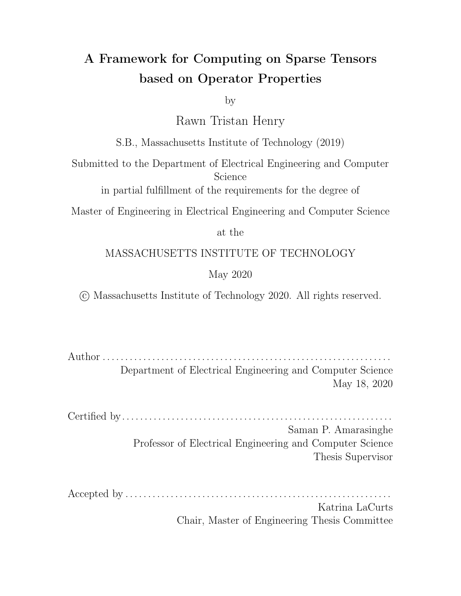## Chapter 4

## Iteration Spaces

The iteration space of loops that iterate over dense tensors can be described as a hyper-rectangular grid of points by taking the Cartesian product of the iteration domain of each loop [22]. A sparse iteration space is a grid with missing points called holes [22]. In traditional sparse tensor algebra, the holes come from tensor components whose values are zero. Figure 4-1 illustrates this way of thinking about iteration spaces. In this work, the holes can be any value of the primitives types that the compiler supports which are integer, oating point and Boolean data types.



present.



Figure 4-1: The Grid Representation of Iteration Spaces showing a dense and sparse iteration space for4 3 matrix

In this chapter, we will extend the iteration space algebra from TACO [22] to include complements of iteration spaces instead of only unions and intersections. We will see a generalization of the iteration lattices from the tensor algebra compiler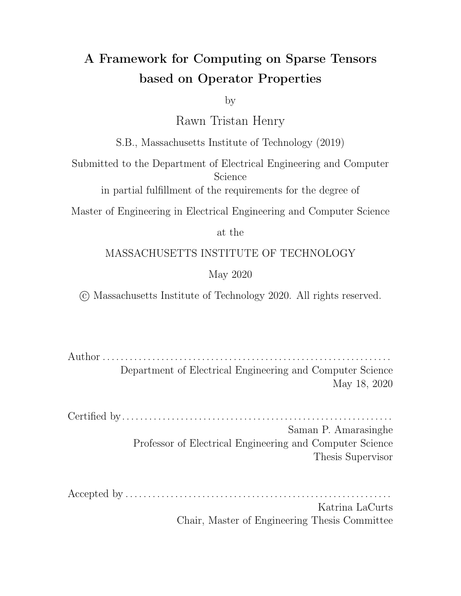that allows the complements introduced in the iteration space algebra language to be expressed. This will allow any iteration pattern to be described to the compiler instead of only union and intersection patterns. The extension to the iteration lattice will include a new type of point called anomitter point which allows a user to skip computing when speci c subsets of the input tensors have holes in their iteration spaces. The introduction of this new point requires a rede nition of the existing lattice points in the tensor algebra compiler. They will be rede ned to beroducer points meaning that they emit a compute statement whenever a specic subset of tensors all have a value dened at a given coordinate. Additionally, we will see a distinction between the new omitter points andmissing points which are simply points that are not in the lattice. Lastly, I show how compute statements can be tied to lattice points to allow entirely di erent computations to be performed at each lattice point. The ideas in this chapter builds the representations needed to compile code to compute on sparse arrays and shows how to translate from an iteration algebra expression to an iteration lattice. Figure 4-2 gives a high level overview of this chapter. The properties, iteration algebra and region computations are bundled with the generic operator. The properties tell the compiler what mathematical properties the operator possesses such as its identity and whether it is commutative or associative. The properties are discussed in detail in Chapter 5. The iteration algebra is a set language for describing iteration spaces. It can be inferred from the properties and tensor ll values or it can be user specied. The region computations allow dierent computations to be done when a certain subset of the tensors that form the iteration space have a coordinate dened. For example, if the operator denes addition fora; b and c, the region computation allows the user to specify thata and b should be multiplied if c lacks a coordinate instead of being added. The iteration lattice is an IR used by TACO to reason about the loops that should be generated to compute on sparse iteration spaces. Finally, the imperative IR is another intermediate representation TACO uses before it generates code for its di erent backends. Chapter 6 demonstrates how these representations can be compiled into C code that iterates over and computes on any iteration space.

36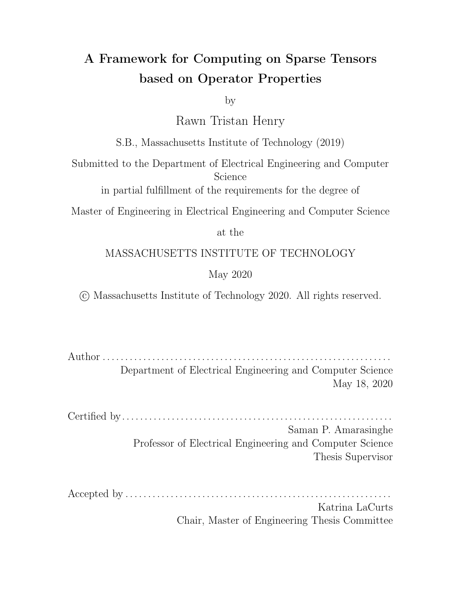

Figure 4-2: Iteration spaces overview that highlights the iteration algebra, iteration lattices and special region computations described in this chapter. Arrows in this diagram imply that one representation is used to build the other. Dashed lines imply that the prior representation is optional. For example, properties are optional when constructing iteration algebra since the algebra can be user specied. Likewise, region computations are not needed in order to construct an iteration lattice if the same expression is being performed in every lattice point.



Figure 4-3: Venn Diagram showing which sets tensor coordinates belong to. All the coordinates belonging to A are in the subset A within the universe of coordinates. This is a Venn Diagram representation of Figure 4-1

.

## 4.1 Iteration Space Algebra

One can also think about iteration spaces as a Venn Diagram of coordinates. The Universe of this Venn Diagram is equivalent to set of all points in a dense iteration space such as the one shown in Figure 4-1a. Since sparse tensors only de ne some of the possible coordinates in the dense space, they form subsets within the universe of points. This way of thinking naturally leads to a set expression language for describing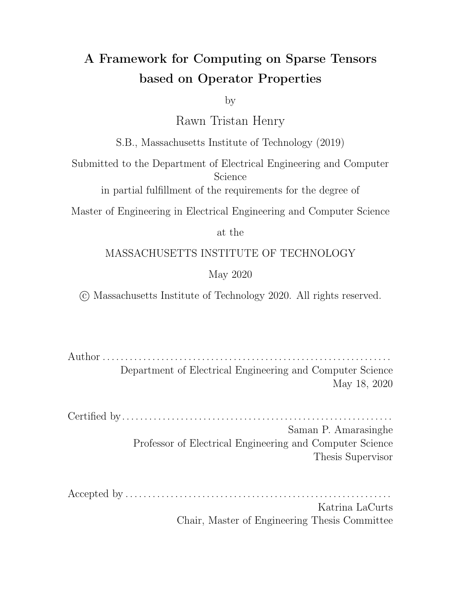

Figure 4-4: The above shows the Venn Diagram regions of the iteration spaces two set expressions with tensors and  $B$ . The colours are mixed where the tensors overlap.

tensor iteration spaces callediteration space algebra [22]. Figure 4-3 illustrates this way of thinking about iteration spaces. Prior to this thesis, it was only possible to combine iteration spaces by taking the intersections and unions of their points. However, this work adds the capability to take the complement of point sets which opens up a much wider range of iteration spaces that can be considered.

The representation of the algebra remains the same as the one described in section 3.1 of Sparse Tensor Algebra Compilation [22] with the addition of set complement, which opens up all set combinations beyond intersections and unions. Brie y, the notation uses index variables to index tensor expressions in order to control what coordinates should be compared in the set operation. For example, one could write  $A_{ij} \setminus B_{ij}$  to indicate the intersection of two sparse matrice A and B as required for element-wise multiplication (assuming II values of). However, with the introduction of complements, one can use expressions suc $A \boxtimes_{ij} \overline{B_{ij}}$  to denote an operation that only uses results from a matrixA wheneverB has no value dened at that coordinate. An algebra such as this is useful for expressing a ltering operation between two matrices. For example, ifA represents the set of MIT Computer Science students and B represents the set of MIT students with glasses then the result of the set operation would return the set of MIT Computer Science students without glasses. These set expressions are shown in Figure 4-4.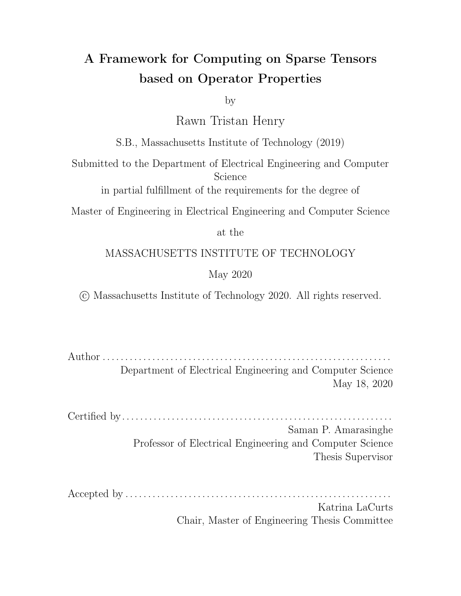

Figure 4-5: Venn diagram fora. The colors are mixed where both tensors need to be coiterated. Shows that outside ofa multiplication does not been to be performed since the result of the operation is known to be zero.

The Iteration Algebra is one of the extra pieces of information that can be tagged to the operators described in Chapter 3. This tells the compiler the exact set of values that needs to be iterated over to compute the nal result. The compiler can then reason about this set to reduce the number of while loops and conditionals needed to iterate over sparse iteration spaces that arise from sparse tensor algebra.

Now, we go back to the sparse-sparse vector multiplication discussed in Chapter 3. Suppose our two input vectors werea with a ll value of 0 and b with a ll value of 1. Since the ll value of a is 0, any time a is missing a coordinate, the value of the nal result is known to be 0 since  $0 \times 0 = 0$  for all x. Therefore, this operator can be tagged with the algebraa<sub>i</sub> meaning results are only generated when has a dened coordinate. A graphical depiction of this algebra is shown in Figure 4-5. This algebra allows the generated code to be simplied from the original code shown in Figure 4-6a. For the simpli ed code shown in Figure 4-6b, assume the compiler has initialized the result vector c to the correct value of0. Figuring out the initialization value can be done by compile time constant propagation where tensor operands are replaced by their ll values.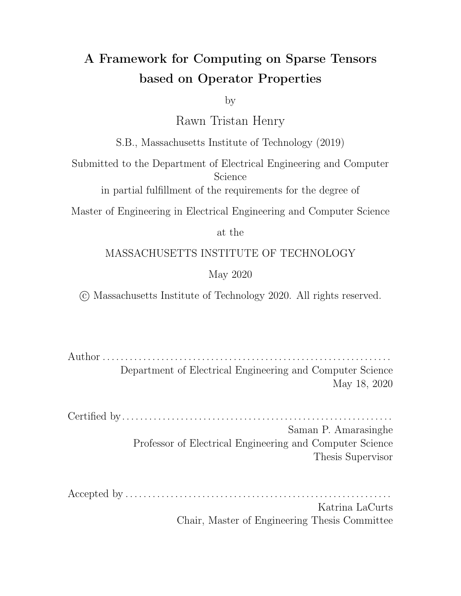(a) Code for computing  $c_i = a_i$  b where a has a ll of 0 and b has a ll of 1. In this example, the algebra is not used so the compiler unnecessarily iterates over the entire space.

(b) Code after using algebra to iterate over the minimal part of the iteration space.

Figure 4-6: The above is shown to illustrate the di erence in code size and complexity when the iteration algebra is used to reduce the iteration space. It shows an example of a code snippet the compiler generates when no iteration algebra is specied with the operator compared to the code generated when an iteration algebra is passed in. The code with the algebra simpli cations is much shorter since there are less regions the compiler needs to iterate over.

## 4.2 Iteration Lattices

In this section, I discuss the iteration lattice representation while highlighting the contributions of this thesis. TACO uses iteration lattices (formerly merge lattices [21]) to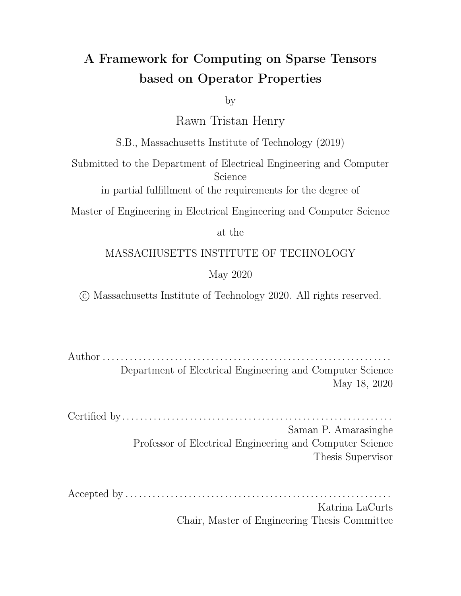generate code for sparse iteration spaces. I extend the iteration lattice representation by introducing a new point type called an omitter point. I also modied the existing lattice construction rules to account for the new representation and introduced a new rule when constructing lattices to allow for complements to be performed. Finally, I explain the dierence between loop lattices and case lattices. In prior works, the iteration lattices are used both to generate loops as well as cases within those loops. However, with the extensions in this work, the two use cases of the iteration lattices need to be distinguished. This section discusses these modications.

#### 4.2.1 Iteration Lattice Background

This section is an adaptation of the description of iteration lattices provided in section 3.3 of Sparse Tensor Algebra Compilation [22].

The iteration space is divided into regions described by the tensors that intersect there. These regions are the powerset of the tensors that form the iteration space; that is, the set of all subsets. Thus, an iteration space withk tensors divides into  $2<sup>k</sup>$  iteration region s (the last region is the empty set, where no sets intersect). Figure 4-7 shows the Venn diagram of the union of three tensors with labels marking the seven non-empty regions where subsets of tensors intersect (the last region is the background, where no segments intersect). For notational convenience, the regions in the Venn diagrams are labeled only with the sets that intersect there, leaving out of the expression a subtraction of regions where other sets also intersect. Thus, for example, the region where only and d intersects is labeled

#### $c \land d$ ;

whereas the full expression is

$$
c \setminus d \quad b \setminus c \setminus d
$$

To iterate over union spaces, we must iterate through each of these regions. But if the iteration space contains intersections, we only need to iterate through some of the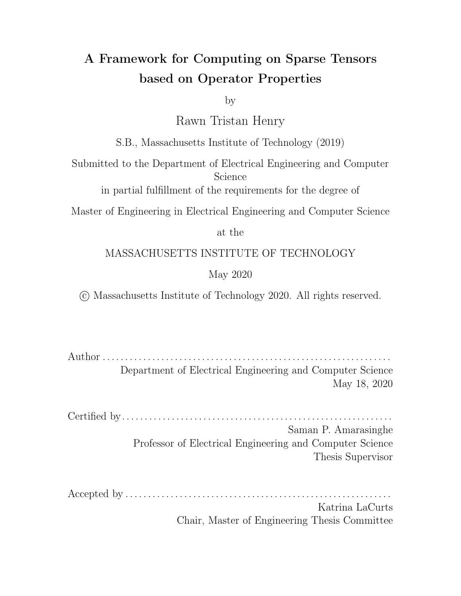regions (a subset of the powerset). For example, in the intersection in Figure 4-8, we only need to iterate through the single region described by the intersection of all three tensors. Figure 4-9 shows that when the iteration space is a combination of union and intersection operations, we need to iterate over more than one but not every region.



Figure 4-7: Venn dia-Figure 4-8: Venn dia-Figure 4-9: Venn diagram of iteration regions gram of the iteration reof  $b$ [ c[ d.

gions of b  $\mathsf{c} \setminus \mathsf{d}$ .

gram of the iteration regions of  $(b \mid c) \setminus d$ .

The coiteration over an iteration space is organized so that when a region runs out of coordinates, the coiteration algorithm jumps to a simpler algorithm that excludes the tensors that ran out of coordinates (Figure 4-10). How, and whether, the algorithm can detect when segments run out of coordinates depends on the coiteration strategy. Two coiteration strategies are discussed over two segments and then generalized to any number of segments using a lattice formulation. The two-way coiteration strategies are called mergeand iterate-and-locate and they demonstrate the coiteration patterns that the lattices implicitly use to construct n-way coiteration strategies for any number of tensors combined with any combination of set intersection and union operators.

The two-way merge coiteration strategy is a common technique that is used in the merge sort and merge join algorithms. It coiterates over two segments  $\mathbf{O}(n)$  time, wheren is the number of coordinates in the larger segment. A two-way merge can be used to coiterate over any region, but it requires that the sparse tensors de ning that region have coordinates that are ordered. It coiterates through the tensors in order until either runs out of coordinates. At each step, it compares their coordinates to determine whether or not they match. If they do, then that coordinate lies in their intersection, and both segments are advanced. If not, then the smaller coordinate is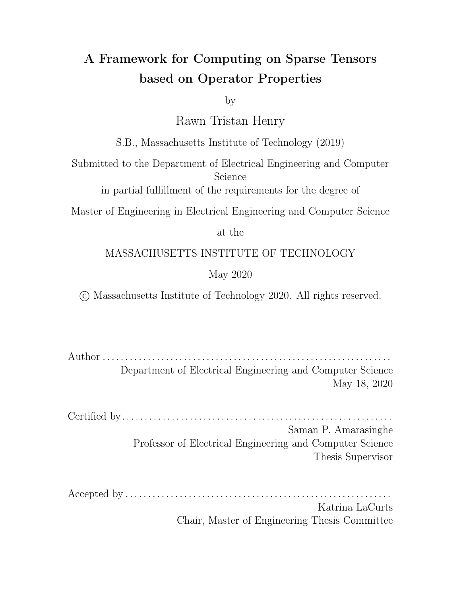| b\c<br>$\mathbf{C}$<br>b | c          |   |
|--------------------------|------------|---|
| b\ c\ d<br>b\d c\d       | $c \mid d$ |   |
| d                        | d          | d |

Coiterate over regions with b, c, and d

b runs out of values

c runs out of values

Figure 4-10: Coiterate over the coordinates dot, c, and d, considering all regions. When b runs out of values the coiteration proceeds to coiterate over only and d, ignoring regions that containb. And when c also runs out of values the coiteration proceeds to only iterate overd, ignoring regions that containb or c.

considered next. It lies in the iteration region that contains only one tensor, and only that tensor's coordinate is advanced. The iteration terminates when either tensor runs out of coordinates. At this point, the intersection variant of the merge strategy has completed, whereas the union variant must iterate through whichever segment still has coordinates left, if any.

The iterate-and-locate strategy is a simpler coiteration strategy that can be used to coiterate over either an intersection, shown in Figure 4-11, or a union where one of the regions is a superset of the other region. The two-way iterate-and-locate algorithm iterates over one of the region and locates coordinates from the other region if the tensors in that region support random access. Examples of tensors with this feature are dense arrays and hash maps.



Figure 4-11: The iterate-and-locate strategy iterates over one operand and locates the coordinates in another.

An iteration lattice is a partial ordering of the powerset of some set of tenso $\mathbf{\hat{s}}$ by the number of tensors in each subset. It is, in other words, a lattice of increasingly fewer tensors to coiterate over until all tensors run out of coordinates (Figure 4-12).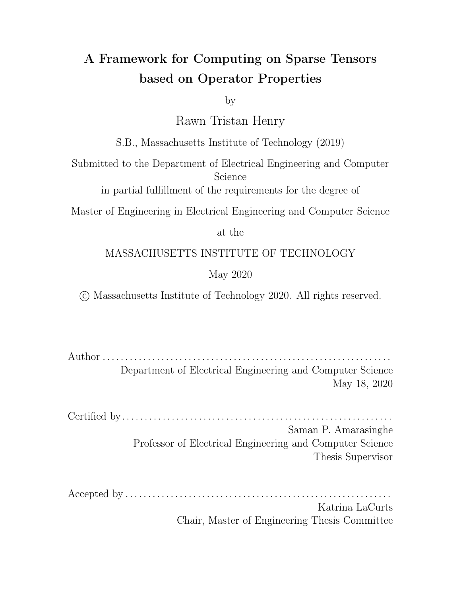Each one of the sets in the  $P(S<sub>t</sub>)$  corresponds to one of the iteration regions in the Venn Diagram corresponding to the iteration lattice. The sets within the powerset are called iteration lattice points. The tensors of a point are divided into two sets called its iterators and locators (Figure 4-13). The iterators are the tensors to coiterate over in the lattice point, using a multi-way merge strategy, whereas the locators are segments we can simply locate from using the iterate-and-locate strategy.



Figure 4-12: The iteration lattice of the iteration domain(b[c) \ d shown in Figure 4-9. Nodes are lattice points with tensors to coiterate over (the top coiterates over all tensors) and edges move to another point when a tensor runs out of coordinates.

A lattice can be viewed as a state machine that coiterates through subsets of regions as in Figure 4-10. Figure 4-15 shows an example with pseudocode. But we do not simply iterate over one region at a time. Instead, we coiterate over several regions until a segment runs out of values and then proceed to coiterate over the subset of regions that do not have that segment. Thus, the lattice points are used in two ways. First, they enumerate the regions we will successively exclude until all segments have run out of values; second, they enumerate the regions we must consider at the present moment. To iterate over an iteration lattice, we proceed in the following manner. We begin at the top lattice point:

1. Coiterate over the current lattice point's iterators until any of them runs out of values.



Figure 4-13: The tensors in a lattice point are divided into iterators to coiterate over coordinates, and locators to locate the coordinate in.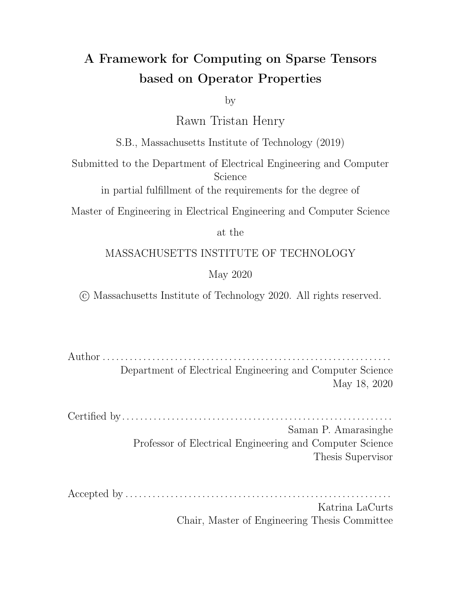

Figure 4-14: The sublattice of the lattice points below a lattice point  $_{p}$ . These are the lattice points that exclude segments that have run out of values.

- 2. Compute the candidate coordinate, which at each step is the smallest of the current coordinates of the tensors.
- 3. Determine which region the candidate coordinate is in by checking what tensors are currently at that coordinate. The only regions we need to consider are those of the lattice points underneath the current lattice point (Figure 4-14).
- 4. When any tensor run out of values, follow their lattice edge to a new lattice point and repeat the process until reaching the bottom.

This strategy leads to successively fewer segments to coiterate and regions to consider. We can use lattices, and this observation, to write code for any iteration space made of unions and intersections. This code consists of a sequence of coiterativity loops that become simpler as we move down the lattice.

### 4.2.2 New Representation

I introduce the concept of an omitter point to the original iteration lattices described previously. An omitter point is simply a point where computation must be skipped inside of the if statement for that lattice point. We still need these points in the lattice because the code generator must still emit while loops that coiterate over the tensors dening that point. A pseudocode example of this is shown for performing the symmetric dierence of two sparse tensors in Figure 4-18. To distinguish omitter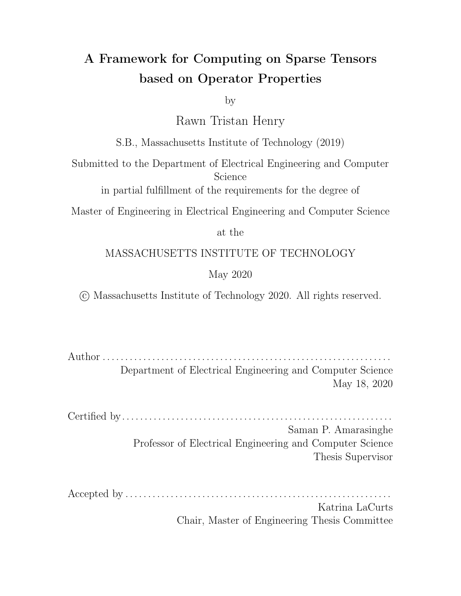

Figure 4-15: Iteration lattice and corresponding coiteration pseudocode for the iteration domain (b\ c)  $\lceil$  d. There is onewhile loop per lattice point and eachwhile loop contains oneif statement per sub-lattice point. Next to eachwhile loop is a Venn diagrams showing the regions it coiterates over. The hile loops iterate until a tensor in its region runs out of values, and the statements check which region a coordinate is in. Depending on the region, di erent actions are taken.

points from the original lattice points, I rename the original lattice points toproducer points since they always produce a computation inside of their if statements. Omitter points are semantically dierent from missing points since we do not iterate over the missing regions. However, omitter points are equivalent to missing points when the omitter has no non-empty set children points that are producers, since no loops or conditionals need to be emitted for the entire lattice sub-tree. The beauty of this extension is that all of the other concepts in the original iteration lattice remains unchanged while giving us the ability to describe any iteration space instead of just intersections and unions.

Figure 4-17b shows the lattice representation for the Venn Diagram shown in Figure 4-5. A lattice point is not explicitly needed to omit the regionbsince it would have no children that are producers. However, Figure 4-16 illustrates an iteration space for the xor operator along with the corresponding iteration lattice for that space. The xor example is shown since the old lattice representation does not support this space and it illustrates the expressive power of omitter points in the new representation. The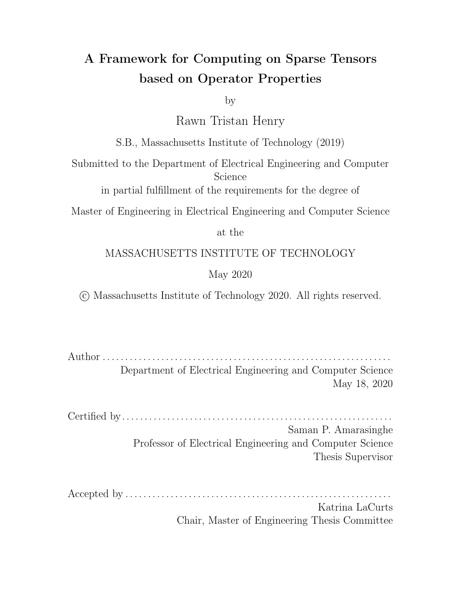



(a) Venn Diagram for computing the symmetric dierence of a and b.



Figure 4-16: This shows the Venn Diagram for computing the XOR between two tensorsa and b and the lattice corresponding to that diagram. This iteration space cannot be represented in the old representation since there is no way to instruct the compiler that it does not need to produce a value when both and b have values dened at a particular coordinate.



Figure 4-17: Lattice representation and Venn Diagram for the sparse vector - sparse vector multiplication where we only need to iterate overa. The lattice point b is absent because when is empty, we are done iterating.

omitter point is needed so TACO knows that it needs to co-iterate over the tensors and b but it can avoid computing and storing values when both tensors are de ned during the co-iteration.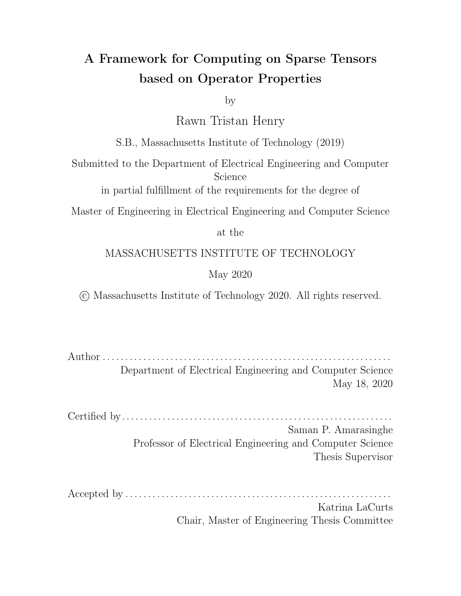

Figure 4-18: Iteration lattice and corresponding coiteration pseudocode for the iteration space describing a symmetric dierence. The treatment of the omitter point is the same when emittingwhile loops. However, when emitting f statements, we do nothing in the intersection ofa and b to ensure that it is skipped. Without this explicit skip, we may accidentally end up performing computations inside the region  $a \, \bmod$ 

#### 4.2.3 Construction

Iteration Lattices are constructed directly from the iteration algebra discussed previously. Before a lattice is constructed, the iteration algebra for the entire expression is constructed then the lattice construction rules are applied to that algebra. Before discussing these rules formally, I will describe an intuitive way of thinking about constructing merge lattice. This will always provide the correct lattice but not necessarily the most optimized lattice.

The input to the lattice construction algorithm is an iteration algebra expression. An intuitive way of thinking about the result lattice is to visualize the space using a Venn Diagram. First, one can draw the Venn Diagram for the iteration algebra set expression. We can then list the powerset of the set of input tensors in an ordered lattice and include an extra point in that lattice for the universe. I refer to this lattice as atemplate lattice from here onward. An example of this structure is shown in Figure 4-19 for an arbitrary binary operation. After writing out this structure, we mark each point corresponding to an unshaded region in the Venn Diagram as an omitter point. Finally, to get the result lattice, we insert the universe into every point (except itself) if the universe was not marked as omitted.

I will use the expressiona b, where is the XOR operator that iterates over the symmetric dierence ofa and b. The Venn Diagram for this operator is shown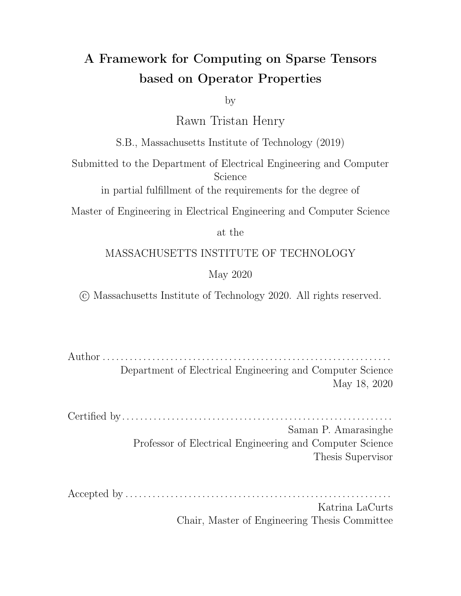in Figure 4-16a as an example to demonstrate this intuitive framework. The actual iteration algebra would be(a \ b) \ (a [ b). Sincea and b are the inputs to the xor operation, we observe that  $P(f \, a; b g) = f f \, a; b g; f \, a g; f \, b g f g g$ . The result lattice after including the universe and marking the necessary points as omitter points is shown in Figure 4-20. This lattice is correct but contains a point for every region in the Venn Diagram, which is unnecessary. It is also based on having the venn-diagram, which the machine would not have when constructing the lattice.



Figure 4-19: Lattice showing the structure a template lattice takes for an arbitrary binary operation before marking points as omitters. The diagram assumes the input arguments are regionsa and b.



Figure 4-20: The lattice corresponding to the XOR Venn Diagram in Figure 4- 16a with the unshaded regions marked as omitters. The universe is not included with the other points since it was marked as an omitter point in the template. Note that this lattice is different from the one in Figure 4-16b since it explicitly includes the universe as an omitter point.

Now that an intuitive framework has been established, I describe a revised bottomup algorithm from the one detailed in sparse tensor algebra compilation [22]. I will introduce the new complement rule and then describe the revised union and intersection rules. I will also introduce a rule called the augmentation rule that is used to attach extra information to the iteration algebra in special cases to simplify the construction algorithm. The segment rule remains unchanged from the original work of TACO.

Before applying any of the rules to the input iteration algebra, we rst apply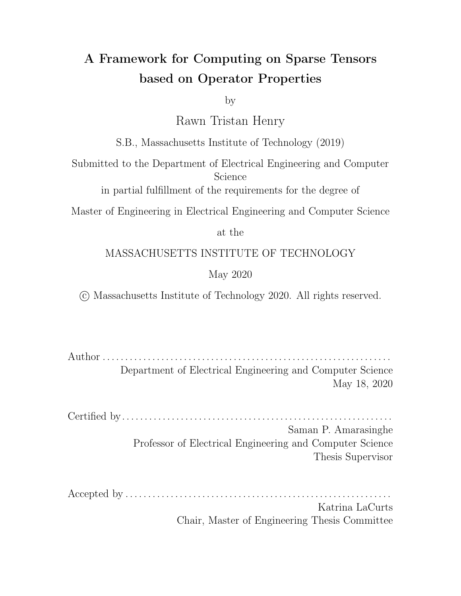De Morgan's laws to simplify the algebra expressions. The primary reason for this is to push complements down the algebra expression so that all complements are applied to tensors and not complex algebra expressions. This preserves the meaning of the algebra while making the complement rule much simpler than it would have been otherwise. This simplicity is due to the fact that the algorithm would need to reason about intersections, unions and dimensions separately in the complement rule whereas now, the complement rule only needs to reason about segments containing single tensors. With the algebra simplied, we can apply the lattice construction rules below.



Figure 4-21: The iteration lattices of a segment expression, that supports an iterator capability (left) and that instead only supports locate (right).

Segment Rule : When we get to a tensor in the iteration algebra expression, we construct a segment for that tensor. This is the base case of the lattice construction algorithm. The segment rule has two cases:

Case 1: The tensor can be iterated over.

Rule: Return a lattice with a single non-bottom lattice point whose set of iterators contains the iterator for the tensor and whose set of locations is empty.

Case 2: The tensor cannot be iterated but can be located into.

Rule: Returns a lattice with a single non-bottom lattice points, the iterators set of which contains the dimension of the tensor and the locators set contains the tensor.

Figure 4-21 contains an example of the application of both rules on a tenstor

Complement Rule : The complement rule only has one case. It can only complement a single lattice point representing an input tensor. When given a single lattice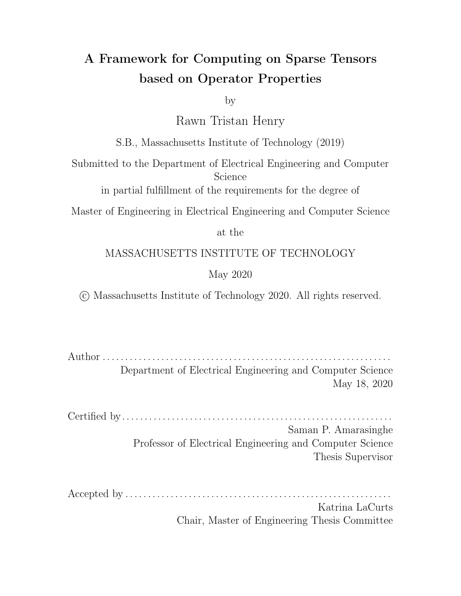

Figure 4-22: The stages of the complement rule. The dimension is needed so that TACO knows it needs to iterate over the entire space and must coiterate witha and the dimension until a runs out of values.

point, the complement rule marks that lattice point as an omitter, adds a dimension iterator to the new omitter point if one is not already present and inserts a lattice point with just the dimension iterator at the bottom. A ow of this is shown in Figure 4-22. The simplicity of this rule is due to the fact that De Morgan's laws are applied to the algebra before applying the lattice construction rules. Therefore, complements always appear around a single tensor expressions instead of arbitrary set expressions.

Intersection Rule : The intersection rule takes two lattices as its operands and combines the lattices to produce a new lattice that describes iteration over the intersection. To intersect two lattices, we rst take the Cartesian product of their lattice points which produces a set of ordered lattice point pairs. Next, we merge the lattice points in each pair: the union of the iterators and the union of the locators become the iterators and locators of the merged point. Finally, we need to gure out the type of the result lattice point being intersected. There are two cases when guring out the type of the result point formed by intersecting two lattice points. They are:

Case 1: The region described by the results a producer in both input lattices.

Rule: The result should always be a producer.

For example if intersecting lattice pointa and lattice point b from two lattices, we must check if the regiora  $\setminus$  b is a producer in both lattices. If so, the result point type must be a producer point.

Intuitively, this is because the intersection takes elements both in set and set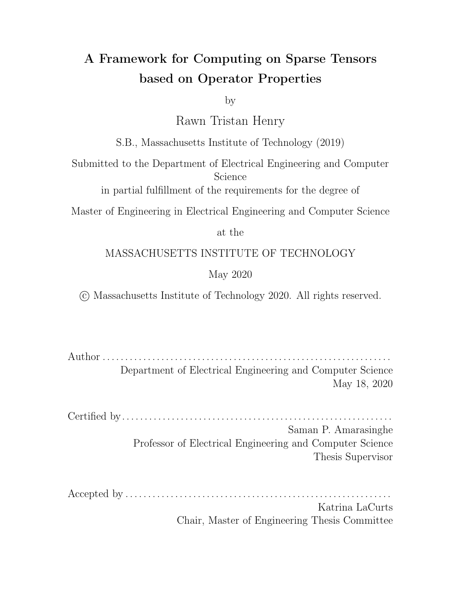b. Therefore, if a subset exists on both sets (indicated by the fact that both sets have a producer) it must also exist in the result.

Note that in this case, the types of the lattice points being intersected do not matter.

An example showing the necessity of this rule is shown in Figure 4-23.



Figure 4-23: Here, we are computin $\circ$  \ (a | b) and the inputs to the intersection rule are shown in (a) and (b). At this point, we do not have the rules required to construct the operand lattices. However, they can be derived by using the intuitive framework described previously and removing the universe point. I use these lattices since they allow a non-trivial example of the rules to be shown. This example shows case 1 for the intersection rule using the lattice points highlighted in orange. When intersecting the lattice points highlighted in orange, we get the region; b. This region is marked as a producer in both of the input lattices as seen by the blue highlighted lattice points. Therefore, it must be a producer in the result lattice shown in (c).

Case 2: The region described by the result not a producer in both input lattices. This means that the region is either absent or an omitter.

> Similar to case 1, this means that if intersecting the lattice pointsa and b from two lattices, and we nd that  $a \setminus b$  is not a producer in both lattices (it is either missing or an omitter) then the result type depends on the types a fand b and is given by the rule below.

Rule: If both of the lattice points being intersected are producers then the result is a producer. Otherwise, the result should be an omitter.

An example showing this rule is shown in Figure 4-24.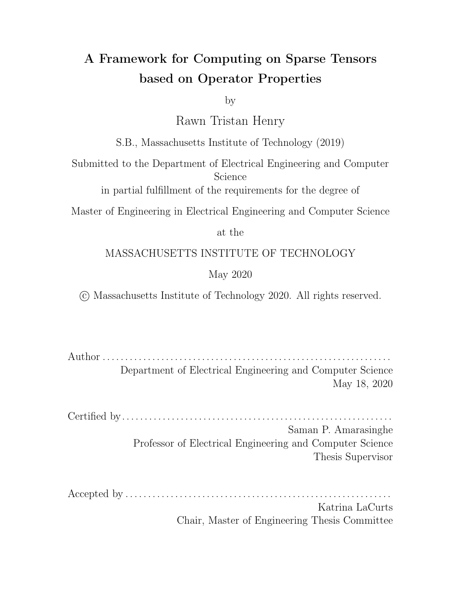

Figure 4-24: Example showing case 2 of the intersection rule using the highlighted lattice points. As before, we do not have the rules required to construct the operand lattices. They can be derived by using the intuitive framework described previously and removing the universe point. I use these lattices since they allow a non-trivial example of the rules to be shown. When intersecting the two highlighted points, we get the region dened byb. This region is not marked as a producer in both lattices so we apply the rule in case 2 of the intersection rule. This results in an omitter point for b as seen in the result lattice.

Union Rule : The union rule combines lattice of its operands to produce a new lattice that describes iteration over the union of the iteration spaces described by the operands. To union two lattices, we rst apply the intersection rule to get an intersection lattice then take the union of the lattice points of the intersection lattice and the two input lattices. As with the intersection rule, there are two cases when guring out the type of the result point formed when intersecting two lattice points under the union rule. They are:

Case 1: The region described by the results an omitter in both input lattices.

Rule: The result must be an omitter point.

Note that, in this case, the types of the lattice points being unioned do not matter.

For example, if intersecting two lattice pointsa and b, under the union rule we check to see if their intersectiona  $\setminus$  b is present as an omitter in both of the operands to the union rule. If this is the case then we ignore the types a fand b and mark the result as an omitter.

Intuitively, this is because the union takes elements in either set or set b.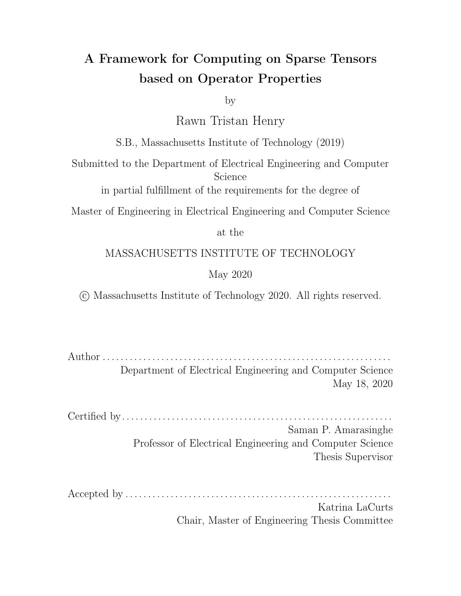However, if an element is omitted from both sets then it cannot appear in the result.

An example showing the necessity of this rule is shown in Figure 4-25.



Figure 4-25: Example showing case 1 of the union rule using the points highlighted in orange. The lattices in the operands are derived using the intuitive framework and removing the universe point as in the prior examples. When intersecting the highlighted points a and b, we get the region dened bya; b which is highlighted in blue in the operands. Since this region is an omitter in both of the operands it must be an omitter in the result as seen in the result lattice in (c).

Case 2: The region described by the result is not an omitter in both input lattices.

For example, if intersecting two lattice pointsa and b, under the union rule we check to see if their intersectiona  $\setminus$  b is present as an omitter in both of the operands to the union rule. If the lattice point describinga; b is missing or is a producer in either operand then the point type returned when intersecting and b is given by the rule below:

Rule: If both of the input lattice points being intersected under the union rule are omitters, then the result must be an omitter. Otherwise, the result is a producer.

An example showing the necessity of this rule is shown in Figure 4-26.

These construction rules are sucient when all operator operands are present in the iteration algebra. However, in the sparse vector-sparse vector element-wise multiplication discussed in Section 4.1 and shown in Figure 4-5, the entire iteration algebra can be accurately speci ed with justa. Although the iteration space and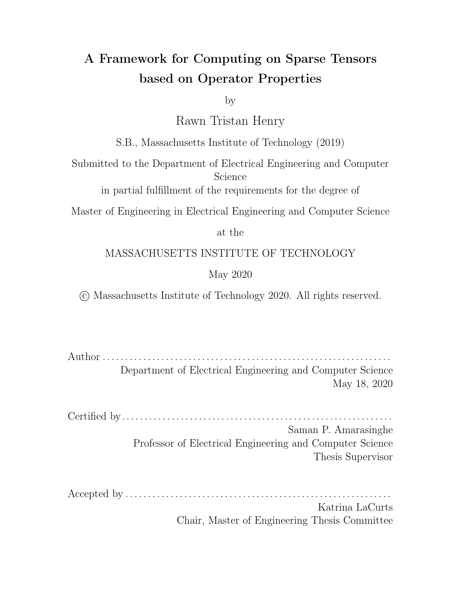

(a) Operand 1: symmetric dierence set (b) Operand 2: set: a (c) Result lattice a [ b

Figure 4-26: Example showing case 2 of the union rule using the highlighted lattice points. The lattices in the operands are derived using the intuitive framework and removing the universe point as in the prior examples. When unioning the highlighted points  $(a, b)$  and  $(a, b)$ , we get the region de ned by $(a, b)$ . This region is not marked as an omitter in both operands so we apply the rule in case 2 of the union rule. This results in a producer point in the result lattice for the region (a; b)

is fully speci ed by the algebraa, the computation partially happens overa and b and so they must be coiterated. Since the construction algorithm only recurses on the iteration algebra, there is no way for it to get information aboutb. This means that TACO will only make a lattice point for a during construction since there is no notion of the iteration space containing the tensob in the algebra. Intuitively this can be described as coiterating over a set of operands, and if one of the operands is a set complement then you want to iterate over everything else instead. But you don't have information about everything else in that iteration algebra node, so you need an environment that contains every tensor so that you know about them. As a result, before running the construction algorithm the augmentation rule is applied to add in elements that are in the operator's operands but not present in the iteration algebra.

Augmentation Rule : The augmentation rule handles case where operands appear in an operator's scalar denition but not in the iteration algebra. These set expressions are valid but cause issues for the lattice construction algorithm since it only recurses on iteration algebra for simplicity. To augment an algebra with information about missing operands, I note two set relations. Given a s<sup>et a set T</sup> and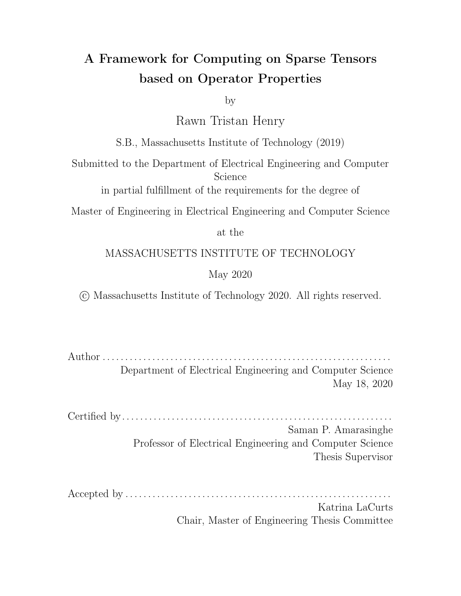the empty set; the following relations hold:

$$
S[: = S
$$
  

$$
T \setminus \overline{T} = ;
$$

Therefore, we can combine these relations to see that

$$
S[ (T \setminus \overline{T}) = S \qquad (4.1)
$$

The above gives us a way to augment an arbitrary set expressine with information about another setT without changing the semantics ofS. This relation forms the foundation for the augmentation rule and it can now be stated.

Rule: If operands exist in the operator's scalar de nition but not in the iteration algebra, the iteration algebra is augmented using Equation (4.1) whereS is iteration algebra tagged with the operator and is an operand to the operator that is not in the algebra. The result is updated to be the new tagged algebra of the operator. This rule is then repeated once for each operand in the operator's de nition that is missing from the iteration algebra. If T is a set expression instead of a single tensor, De Morgan's laws are applied to  $\overline{T}$  to simplify the expression.

I note that the trick above only works due to the fact that simplications to the lattice are done after the lattice has been fully constructed. This would not work if simplifying was done during construction since the augmented expressibe  $\overline{T}$  would return a lattice with no lattice points.

So for the algebraa with operandsa and b, the augmentation rule will update the tagged operator algebra to include information aboub by applying Equation (4.1) as shown below:

$$
S_{\text{new}} = a [ (b \setminus \bar{b})
$$

It will then set  $S<sub>new</sub>$  as the new tagged algebra. If there were more operands in the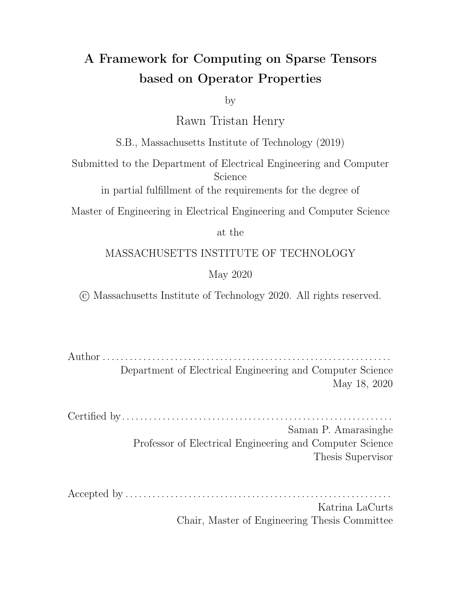operator, the augmentation rule would be applied once for each of operands missing from the algebra.

As a nal note about lattice construction, I add that there are cases where duplicate lattice points dening the same region appear with conicting point types. These are resolved each time the intersection and union rules are applied as a nal step. When applying the intersection rule, omitters always win the con ict and when applying the union rule, producers always win the conict. Example input lattices that con ict for both intersections and unions are shown in Figure 4-27.



Figure 4-27: An example showing lattices that cause duplicate points for intersections and unions along with the result for both operations. When combining the two input lattices (a) and (b) above, the highlighted points always combine to result in a producer(a;U) while the points that are not highlighted always combine to give an omitter (a;U). Intersections always resolve duplicates by preferring omitters so the region  $(a;U)$  is an omitter in the result in  $(c)$  while the opposite is true for unions as seen in (d).

#### 4.2.4 Special Region De nitions

The introduction of generic operators also allows for special computations to be performed at each lattice point. This is another piece of information that can be tagged to the operator. This is done by specifying the input tensors that should have a dened non-ll value and the computation to perform when all of those input tensors have a non-ll value dened at a given coordinate. This can be conceptualized as attaching a computation to each lattice point. By default, TACO will replace exhausted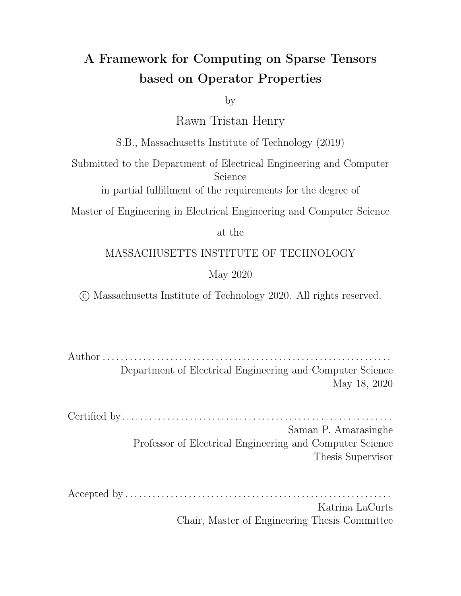

Figure 4-28: The above shows how TACO handles computations in special regions. Assume the II values of all of the tensors are. Regions(a; b;  $\dot{q}$ , (a; c) and c highlight the default behaviour of TACO as the exhausted tensors are replaced with and the expression is simplied. All the other points in the lattice perform a dierent operation speci ed in the operator interface.

tensors in the default operator with their ll values unless a special computation has been dened for a given lattice point. In that case, TACO will perform the special computation at that lattice point instead. Figure 4-28 shows an example of special operator where the default operator is a ternary addition  $a + b + c$ .

#### 4.2.5 Case Lattices and Loop Lattices

Optimizations can be applied to the lattice after it is constructed in order to prune points. However, we can no longer unconditionally apply optimizations in lattice construction since we have to account for omitter points and points where some special computation must be performed. If one of these points is removed during construction, the code generator downstream will lose the information telling it to skip computing in some regions or to compute a special function in some region. As a result, these special points must be kept when applying optimizations during construction and leads to the distinction between loop and case lattices.

A case lattice is simply an iteration lattice after construction with no points removed. It is called a case lattice since it will have all the lattice points where a computation has to be performed under the emitted if cases along with all the lattice points where computation should be skipped in the if cases. A loop lattice is a case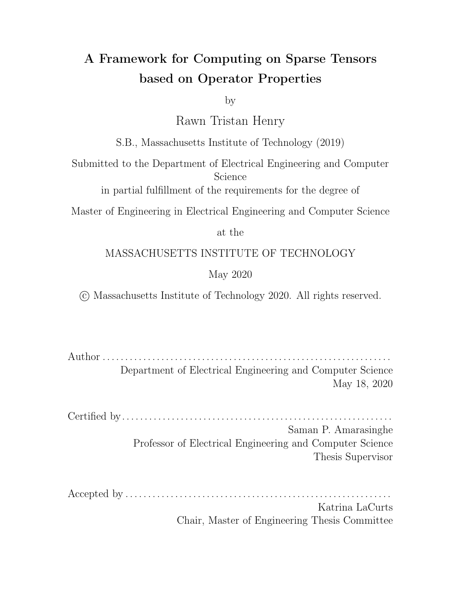



Figure 4-29: This example shows a case and a loop lattice  $(\mathsf{a}\mathsf{k}\ \mathsf{b})$  ( $(\mathsf{a}\mathsf{k}\ \mathsf{c})$  (a\  $\mathsf{b}\mathsf{k}\ \mathsf{c})$ . The highlighted lattice point denotes a special region. The code generator only needs to generate a loop oven, so when generating loops it is ne to use the lattice in (b). However, if attempting to generate cases within the loops using the lattice (b), the code generator lacks information saying it needs to perform a dierent computation in the highlight lattice point. It also has no way of knowing that it should not compute when a and c have de ned values but not when all ofa, b and c are de ned. The case lattice in (a) contains all of this information and therefore this is the lattice that will be given to the code generator as input.

lattice formed after pruning unneeded lattice points. It dictates what loops should be emitted but it lacks all special points where dierent computations should be done or computations should be omitted.

The lattice construction algorithm always returns a case lattice. The code generator simplies the case lattice to a loop lattice later when generating loops and uses the case lattice to generate the conditionals inside of those loops. These two uses of lattice already existed in TACO, but the addition of new point types required an explicit distinction between the two uses of the iteration lattices.

Figure 4-29 illustrates a case lattice for the expression  $\mathbf{a} \setminus \mathbf{b}$  [ (a) c) (a) b) c) along with the loop lattice. This example assumeb and c support locate while a only supports iterate.

This concludes the discussion about iteration spaces and iteration lattices. In Chapter 5, I describe how one can derive iteration algebras from reasoning about the scalar properties of operators along with their input values to allow the compiler to automatically generate the correct lattices. Additionally, Chapter 6 describes how omitter points and special regions are handled when lowering the iteration lattices.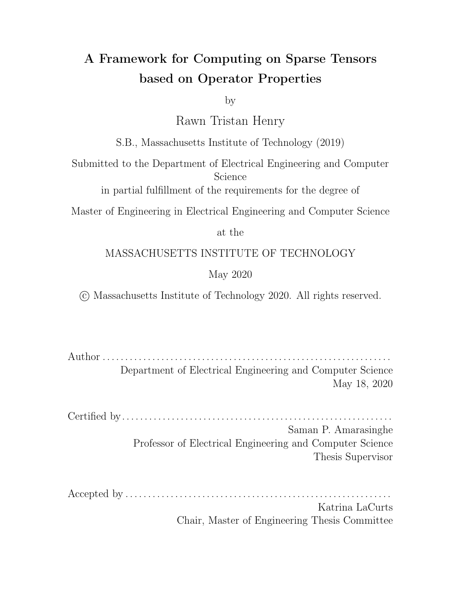## Chapter 5

# **Properties**

In this chapter, I introduce the concept of operator properties to the TACO system of Kjolstad et al. [21]. I describe how these properties, along with the ll value of the input tensors to the operators can be used to reason about the iteration space of the operator. I show that these properties allow the compiler to infer the iteration space algebra and hence the iteration pattern needed to compute the operator. I also discuss some limitations of the properties and consider iteration spaces that they cannot describe. I demonstrate that in these cases, a user can simply supply the compiler with the desired algebra that describes the space they would like to iterate.

## 5.1 Operator Properties

This work introduces six operator properties to the Tensor Algebra Compiler. Properties are another piece of information that can be tagged with an operator along with the iteration algebra and the special region de nitions. This list is in no way exhaustive; it may be bene cial to add more operators in the future. Each operator can be tagged with a list of properties which can be any one of the following properties:

1. Associative - This property is only applied to binary operators. In an expression containing two or more occurrences of a binary operator, this property tells the compiler that the order in which it performs the computations does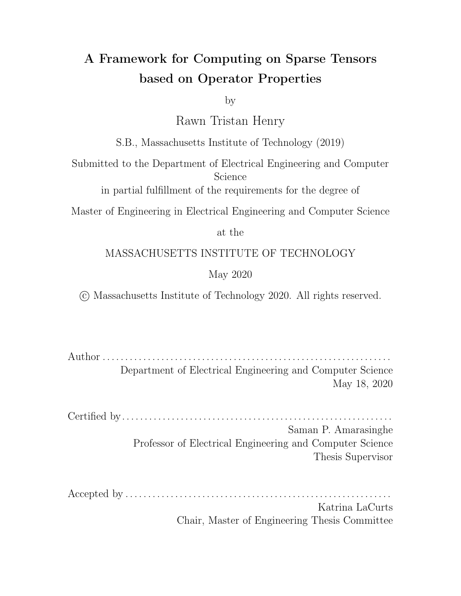not matter as long as the sequence remains the same. This tells the compiler that it can parallelize reductions over the binary operator.

- 2. Commutative This means that the order in which the operands appear in the operator does not change the result. An operator with this property allows TACO to rearrange forall loops in concrete index notation, and therefore the reorder command in the TACO scheduling language [30] requires that the operands aected by changing the loop ordering are used by operators with the commutative property.
- 3. Idempotent This is only dened for binary operators. An idempotent operator is one where the operator can be applied multiple times without changing the result beyond the rst application. The idempotent law for an operator states that 8x,  $x = x$ . This property helps the compiler realize when it does not need to iterate over the ll values when performing reductions. It also helps the compiler infer the iteration algebra for a given operator. Examples of idempotent operators are max and min.
- 4. Annihilator The annihilator property species a valuea for an operator such that 8x,  $x \neq a$ . This property is used to short circuit during reductions and to infer what the iteration algebra should be for a given operator based on the ll value of its operands. An example of an operator which benets from this is multiplication, which has an annihilator of 0.
- 5. Identity The identity property species a valuei for an operator such that  $8x$ ,  $x$  i = x. This property helps the compiler realize when it can skip reducing all of the ll values of the input tensors since, if the ll value is the identity value, explicitly reapplying it does not change the result. It also helps with inferring what the iteration algebra of an operator should be based on its input tensors.
- 6. Distribution This is a special property that species a relationship between two operators and . This tells the compiler that distributes over and is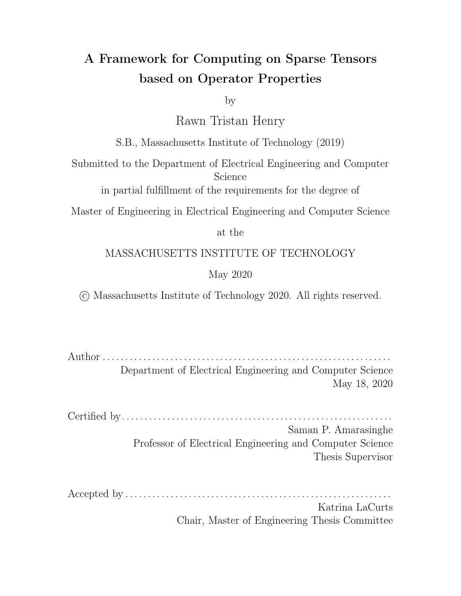essential for performing the workspace transformation [20] for an arbitrary pair of operators. In this work, the operators and must be binary operators. So the distributive property tells the system that:

a (b c) = ( a b) (a c)

For example, distributes over  $+$ ,  $+$  distributes over max and min and  $\wedge$ distributes over\_. I show this rule concretely for the(max; +) pair of operators below. In this case, the max assumes the usual role of addition while assumes the usual role of multiply.

$$
a + \max(b; \theta = \max(a + b; a + c)
$$

As mentioned, it is possible to use some of these scalar properties in order to infer what the iteration algebra given the operands and the properties. The rest of this chapter details the method for inferring iteration algebra from properties and operand ll values then discusses iteration spaces that the properties above are not sucient to describe.

### 5.2 Deriving Algebras from Properties

Of the six operators introduced, TACO can leverage four of those in order to automatically infer an iteration algebra for a given operator. TACO attempts to generate the fewest number of lattice points needed to correctly evaluate an expression since this generally reduces the overall code size since there fewer loops and conditionals that have to be generated. The properties are checked in the order below, since properties earlier in the list will generate algebras resulting in weakly fewer lattice points that those later in the list. This derivation is only attempted if the user did not specify an iteration algebra explicitly. In that case, this step is skipped and the user's algebra is used to lower the operator.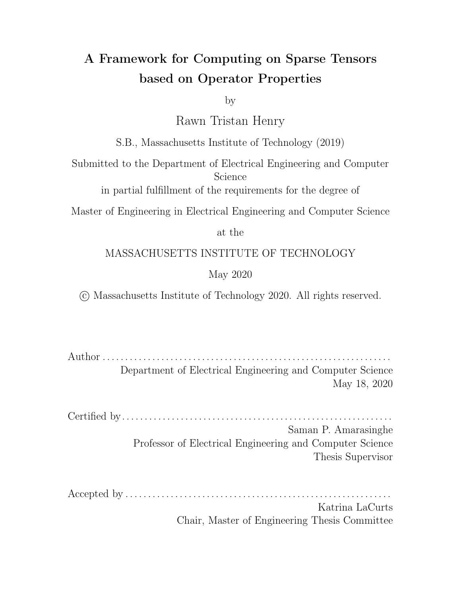Each operator starts with a default algebra which is simply the universed. This implies that the compiler needs to iterate over every point in the dense space. I did not include an explicit representation of the universe in the set language so the algebra is initialized to the complement of the empty set in the implementation. In the examples below, I use the notatio $\overline{\mathsf{n}}_{\mathsf{f}}$  to refer to a tensorT with a II value of f.



Figure 5-1: Example lattice with and without generating an algebra for an operator with a commutative annihilator. The augmentation rule is crucial in both cases to inform the compiler of all the tensors forming the iteration space.

1. Commutative Annihilator: The system gathers all tensors with ll values equal to the annihilator and intersects them. This is because any time one of those input tensors is missing a coordinate, we know that its ll value will annihilate the expression meaning there is no need for it to be explicitly evaluated. In the case where there is only one tensor with its ll value equal to the annihilator, the system generates an algebra only for that tensor.

For example, I consider the ternary max operatomax $(A_1; B_1; C_0)$  with 1 speci ed as an annihilator. Sincemax is commutative, the compiler will check the ll values of all of the tensors and since onlyA and B have ll values of 1, the compiler will generate an algebra fo $A \setminus B$  and override the default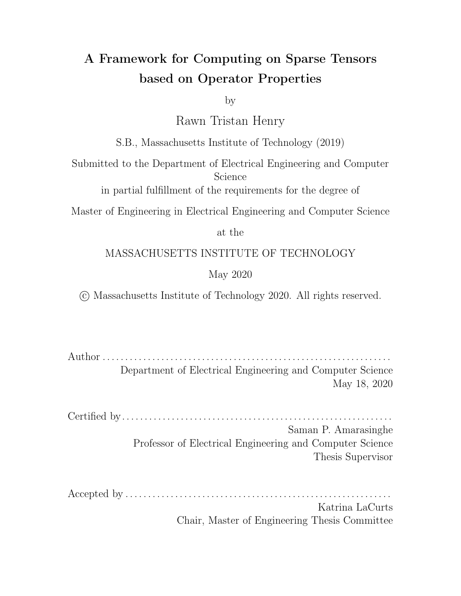algebra of U. This is because outside of the intersection  $\alpha$  and B at least one of the inputs tomax will be 1 meaning the result will be1 . Figure 5-1a illustrates the lattice that would be generated if the default algebra was used instead of the generated algebra while Figure 5-1b shows the lattice produced for the generated algebra.



Figure 5-2: Example lattice with and without generating an algebra for an operator with a non-commutative annihilator. This optimization allows the compiler to skip considering points whereA is not dened. However, it must still co-iterate with B to actually perform division where the values oB are de ned.

2. Non-commutative Annihilator: In this case, the user must specify which arguments in the operator can annihilate the expression. This is done by passing in a vector of argument positions that can annihilate along with the annihilator value. The system uses this value and the vector of argument positions to perform the same check as above with the exception that it only considers the tensors that the user specied.

To illustrate an example, I consider the division operator  $di(A_0; B_4)$ . The user can pass in a property to the operator as follow Annihilator( $0, \{0\}$ ). This tells the compiler that the  $0<sup>th</sup>$  operand annihilates the expression when it has a value of0. Since division is not commutative and the annihilator has a position value, the compiler will only check the ll value ofA and will realize that is is0. This will cause it to generate an iteration algebra that only iterates ove A and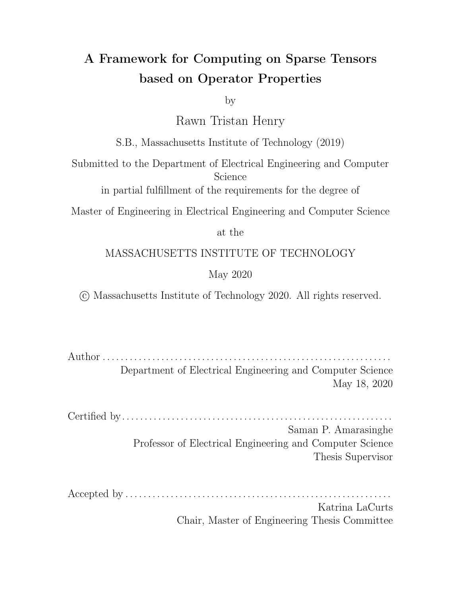ignores everywhere wher A lacks a coordinate since it knows that the result of the expression will be 0. Therefore, the default algebra of the operator  $U$  will be overridden to contain the algebra oA. Figure 5-2a illustrates the lattice that would be generated without using the properties while Figure 5-2b illustrates the lattice generated when the algebra is inferred to  $b\mathbf{A}$  from the properties. In the cases where has a coordinate but B does not, the compiler will perform the division using the ll value of B.



Figure 5-3: Example lattice with and without generating an algebra for an idempotent operator. This optimization allows the compiler to skip considering the points where both A and B lack coordinates.

3. Idempotent Operator: This is similar to the commutative identity case. If we fall through to this case, the system checks if all of the input tensors have the same ll value. If this is true and the operator is idempotent then the system generates an algebra to iterate over the union of the tensors. This is because of the idempotent law above; if the two ll values are the same then applying the operator to them will not change the result.

Here, I consider themin operator min( $A_x$ ;  $B_x$ ). I do not set the II values to any speci c value for this example since for idempotent operators, the only requirement is that the ll values are equal. A user can specify that an operator is idempotent by specifying the dempotent property in the operator's property list. Since A and B have the same II value in this example, the compiler can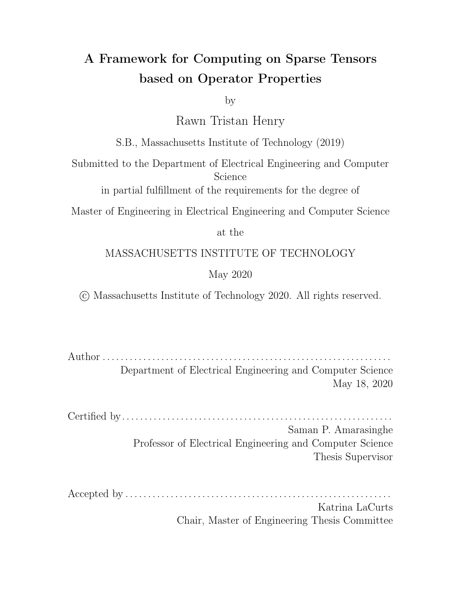infer that the result of the operator when both tensors lack a coordinate is. This means that the compiler will replace the default iteration algebra with the algebraA [ B since the code generator only needs to consider coordinates where eitherA or B is dened. Figure 5-3a illustrates the lattice without the properties while Figure 5-3b illustrates the lattice generated for computing the minimum of these two tensors.

4. Commutative Identity: Once we fall through to this case, the best the system can do is generate a union algebra. If all of the input tensors have a ll value that is the identity of the operator then TACO can emit an algebra to iterate over the union of the sparse spaces to avoid computing on the entire dimension. TACO can also emit a union algebra if only one of the input tensors has a ll value that is not the operator identity. This case is examined in the example below.

An example of an operator where this is useful is themax operator. Suppose the operator is called as max( $A_1$ ;  $B_{42}$ ) and 1 is specied as the identity of the operator. The identity of max is 1 since max(1; x) = x. In this example, TACO realizes that since only one operand has a ll value that is not the identity, it can infer the result of the computation when both tensors lack a de ned coordinate. More concretely, since S II value is 1 and is the identity of the operator, TACO knows the result has to beB's ll value which is 42. This means that the compiler can emit a union algebra since when both A and B lack a coordinate, it knows the result of the computation so it does not need to consider this space. The iteration lattices are the same as the ones shown in Figure 5-3a for the default algebra and Figure 5-3b for the union algebra inferred from the operator's properties and ll values.

5. Non-commutative identity: Again, the user must specify which arguments to the operator can actually be identity elements using the same interface as the non-commutative annihilator case. We can only generate a union algebra here if all of the tensors are specied as possible identity elements and all of the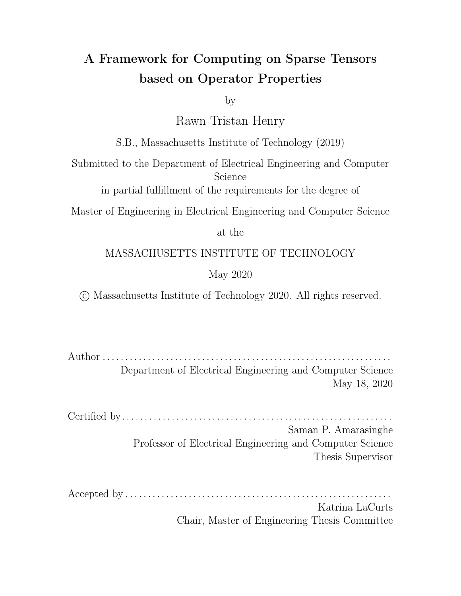ll values are equal to the identity element. If this does not hold then we need to generate an algebra for the entire space.

However, the code generator can avoid using tensors whose ll values are the identities when performing computation since it will know that the identity element will not change the result. Currently, this is only possible for binary operators since the generator can simply return one side of the operator when the other is the identity element.

In general, the result tensor can have any ll value. Therefore, these algebras can only be generated if either the result tensor's ll value is left undened (it is illegal to do this for any other tensor), allowing TACO to constant to replace the tensors in the expression with their ll values and constant propagate to set the ll value of the result. Once this is done, TACO can leverage the operator properties.

## 5.3 Limitations of Properties

As seen from above, properties cannot generate algebras for every iteration space. For example, we cannot infer a symmetric set di erence or infer that we need to iterate over a tensorA without its intersection with other tensors. In general, it is unclear how to extract the notation of complements from properties so any iteration space requiring a complement cannot currently be inferred. It is for this reason that the algebra was exposed directly to the user.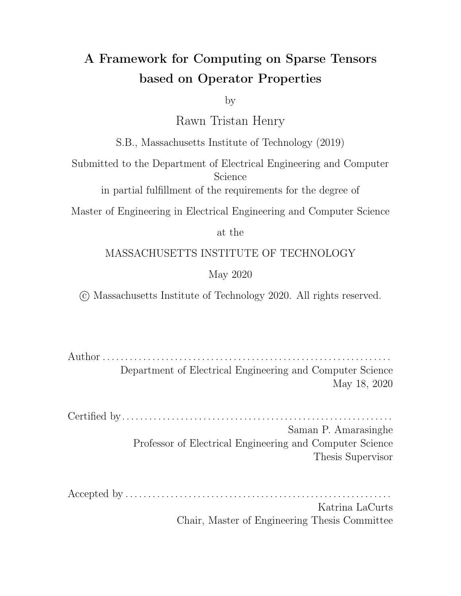# Chapter 6

## Code Generation

In this chapter I explain how the representations described earlier are used to extend the sparse tensor algebra compiler code generator described by Kjolstad et al. [22, 21] to generate code for any iteration space as well as for any ll value. I will begin by describing how an iteration algebra is extracted from a general expression before it is fed as input to the lattice construction algorithm. I will then describe places where the code generator needs to change to account for the extensions made to the iteration lattices described in Chapter 4. Finally, I will describe how the code generator can use ll values and the properties of operators to realize certain optimization when performing generic contractions and relate these optimizations to the BFS and Bellman-Ford algorithms described in Chapter 2.

## 6.1 Extracting Algebra from Index Notation

The rst change to the code generation algorithm is that instead of just lowering Index Expressions, we must rst generate iteration lattices from explicit iteration algebra so that the correct loops and cases can be constructed. Prior to this work, it was possible to simply recurse on the index expressions since the iteration lattices were inferred directly from the operator. To convert index expressions to algebra, we recurse down each node in the expression tree and query these nodes for the algebra that should be used. We combine the algebra of dierent nodes by combining the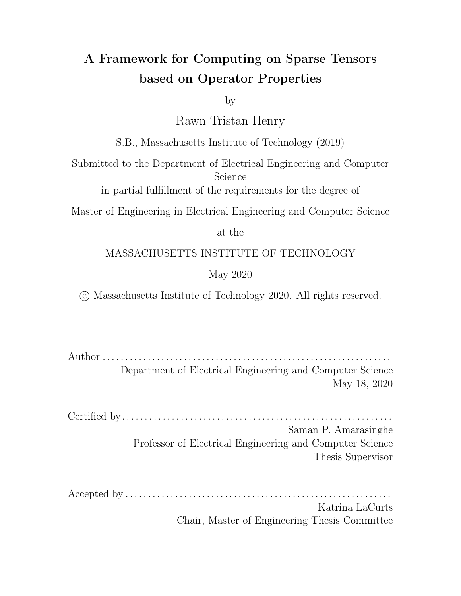iteration algebras returned by their operands. This is shown schematically in gure Figure 6-1.



Figure 6-1: The above shows a schematic of how the algebra is extracted from an index expression. Assume an expression in the form  $f$  ao b; c+ d) where foo has the algebral  $\binom{r}{r}$ . The above depicts how the algebra is derived by combining nodes bottom up in the expression tree. Complements are applied to each operand which are surrounded by boxes and operands are either unioned or intersected and combined at the circles above.

## 6.2 Lowering Iteration Lattices

The construction algorithm describe in Chapter 4 is used to generate iteration lattices from the extracted iteration algebra. I will describe the changes made to the lowering mechanism in TACO to account new concepts introduced in the iteration lattices and the minimal changes made to case and loop generation.

### 6.2.1 Explicit and Implicit Fill Values

The code generator interprets complements to mean that it should skip computation everywhere a tensor has a non-ll value. Since complements are expressed by omitter points, this means that the code generator needs to check for two conditions when deciding if to omit computing using certain tensors. These are: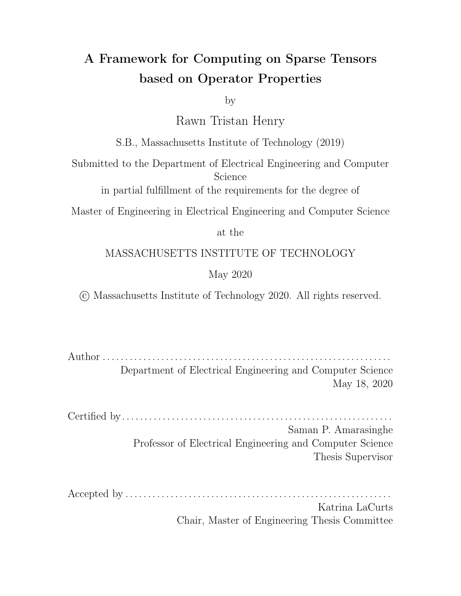- 1. The sparse tensor data structure does not have a coordinate for some point in the iteration space. This means that the structure has an implicit value at that coordinate which is equal to the ll.
- 2. The value at some coordinate is equal to the ll value. In cases where a coordinate is dened and equal to the ll value, this is called an explicit ll.

When deciding if to omit computing using certain tensors, both conditions need to be satis ed for sparse tensors in order to omit the region. However, to omit a dense tensor region, only condition two needs to be satis ed.

The explicit ll value checks allow the code generator to ensure that the semantics of the lattice for sparse tensors matches the semantics for dense tensors. Without the explicit checks omitter points including a dense space would remove the entire iteration space. However for sparse spaces, it would only remove the coordinates that have been dened in tensor's data structure. This would break the core principle of the compiler generating the same results regardless of the format used.

The code generator will only perform checks for explicit ll values when there is an omitter point present in the lattice or there are special regions of computation dened in the lattice.

#### 6.2.2 Loop Generation

The way the code generator generates loops from the merge lattice changes minimally from the original work. One dierence is that the part of the code generator that lowers loops is always passed a case lattice. The code generator must now remove lattice points that have the same iterators itself in order to get a lattice describing the loops that need to be lowered. Loops are lowered for producer points as well as omitter points. Figure 4-29 demonstrates the application of the subset optimization to a case lattice and shows the resulting loop lattice which lets the code generator know that only one loop is needed over the tensor.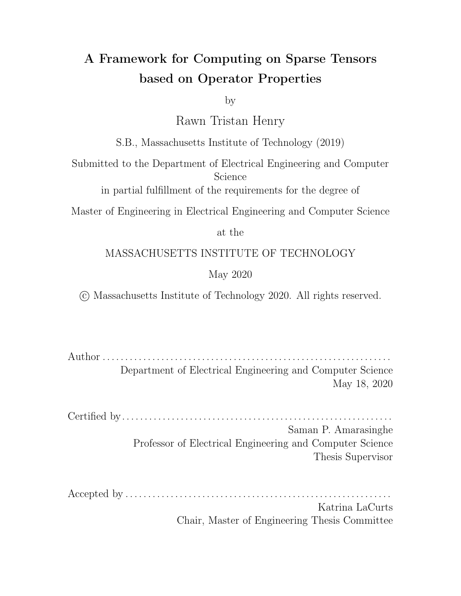#### 6.2.3 Case Generation

Inside the loop body, the code generator emits cases from the full case lattice. If the input lattice only consists of producer points without any special region de nitions, the code generator uses the original method of generating cases within the loop body [22, 21]. However, if this is not the case the code generator emits a boolean ag indicating whether a tensor value is non-zero. It emits this check for each tensor whose value array can be read at the current level. This ag is true if the tensor coordinate is dened and the value at that coordinate is non-zero. Since coordinates are always dened for dense structures the code generator does not perform the coordinate check for dense tensors.

There are two ways in which one could perform the case checks with the boolean ag. The rst is that the method used by the current work which is to check if increasingly larger subsets are dened. In this case, compute statements would be excluded for omitter points meaning omitter points would simply have empty conditionals. The other option is to only emit checks for producer points. In this case, the code generator sometimes needs to include extra checks to ensure that it doesn't accidentally compute in a region that should be omitted. I implement the latter strategy since it seemed more readable but I show the two possible strategies in Figure 6-2 for performing a symmetric di erence. These strategies may exhibit di erent performance based on the input data so it may be best to leave the decision about what case generation format to use for the scheduling language.

In order to gure out if extra checks are necessary, the code generator queries the lattice to gure out if any other lattice points are omitters and are subsets of the current lattice point. Specically, the code generator checks if there are any parent lattice points that are omitters and contain the same tensors as the current lattice point. If this is true, the code generator needs to emit a check to ensure that it is not in one of those subsets. To do so, it collects all tensors present in the omitter points in a set and removes all tensors from that set that are part of the current lattice point. Figure 6-3 demonstrates an example of this check.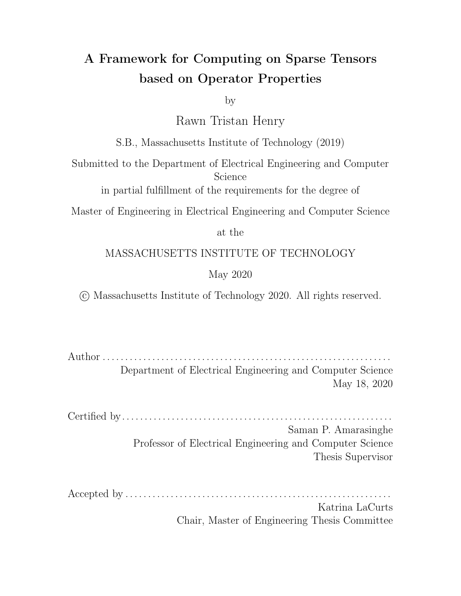(a) Old Cases: Here a case is generated for each lattice point and computation omitted for omitter points

(b) New Cases: A case is only generated for producer points and extra checks are added when necessary to ensure we are not in some other region.

Figure 6-2: Two potential ways for generating the cases for the symmetric di erence lattice such as the one shown in Figure 4-16b



Figure 6-3: This demonstrates how the code generator handles lowering cases. When lowering the merge point fora, the code generator sees that  $a; c$  is an omitter and realizes it must emit a check to ensure that is zero before computing within a. However, when emitting a check forb, the code generator knows that it has emitted checks for all of the subsets withinb so will avoid added extra checks in the if statement.

#### 6.2.4 Special Regions

To emit special compute statements described in Section 4.2.4, the code generator leverages the fact that TACO zeros tensors that are exhausted. That is, when we are lowering a lattice point that does not contain an iterator for some tensor expression, it is removed from the index expression. In this work, 'zeroing' means replacing the tensor with its ll value. However, the code generator also keeps track of the indices of the tensors that are still dened for a given operator. Since the user gives a list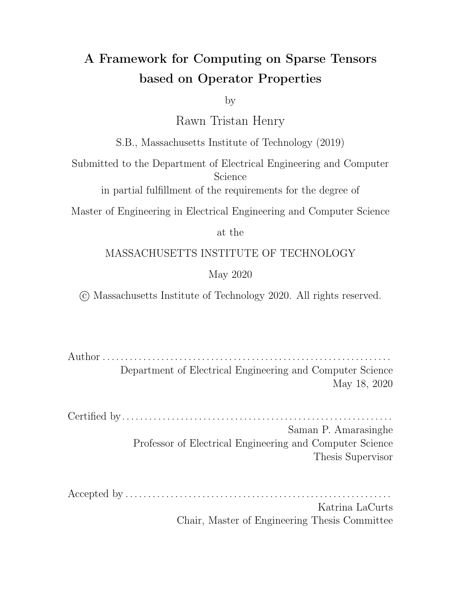of the argument indices that must be dened in order to emit some special code, the code generator queries the operator for this list. If the code generator's current list of dened arguments matches one of the lists the user gave as input, the code generator substitutes the users computation in the lowered code.

#### 6.3 Reduction Optimizations

Currently, the code generator can leverage three of the operator properties when emitting reductions. It does this by rst attempting to infer the ll value of the tensor expressions during lowering and comparing that ll value against properties. This means that it replaces all the tensors in the expression tree with their ll values and attempts to simplify this to a single Literal. For now the code generator uses properties to attempt to simplify the expression with the tensors replaced by ll values. This can be generalized by allowing the TACO system to constant fold through the low-level IR so that any expression can be simplied regardless of its operator properties. The properties used to simplify reductions are useful since without them, the system would be forced to assume it needed to iterate over the entire dimension even in the sparse case instead of simply reducing over the dened values. The three properties I currently use in the code generator are as follows:

1. Identity: If the ll value of the tensor expression being reduced is equal to the identity of the operator then for sparse tensors this tells TACO it can skip iterating over the entire dimension since the explicit ll values will not change the result.

The code generator implements this by checking if there is a reduction being performed inside of an Assignment Node. If this is the case, it infers the ll value of the tensor expression being reduced after removing all tensors that are not indexed by the forall loop variable that is currently being lowered. This is so that the computation controlled by that loop can be captured by the code generator. Once the generator infers the ll value for the input expression with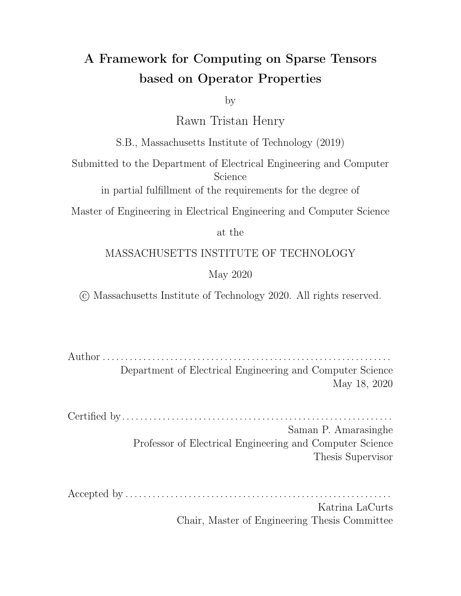unneeded tensors removed, it checks if the ll value of that expression is the identity of the reduction operator. If this is the case, then the code generator leaves the lattice returned by the construction algorithm as is. However, in the event that the ll of the expression is not the operator identity, the code generator unions a dimension iterator forcing the ll values of the sparse tensors to be considered.

An example of this is the well-known SpMV kernel which can be expressed in TACO as  $y(i) = A(i; j)$   $y(j)$ . Since there is an implicit reduction using addition being performed, the code generator will check the II value of against the addition identity when lowering the i loop. When lowering thej loop, it will check the II value of the expression A(i; j) v(j) against the identity of the addition operator.

I note that this optimization alone allows TACO to realize when the identity of the addition is equal to the annihilator of the multiplication operator as is the case in a semi-ring. In the SpMV example for instance, if the II of a is 0, TACO keeps thei loop sparse sinc $\Theta$  is the identity of addition. Additionally, since  $0 \quad v(j) = 0$  (because 0 annihilates multiply), the inferred II value of the expression in the reduction loopj is 0. Again, since0 is the identity of the addition operator, the j loop also remains sparse due to the relationship between the annihilator and the identity of the operators being used in the expression.

2. Idempotent: If reducing over an idempotent operator, the code generator can simply initialize the result variable to be the ll value of the reduction expression and iterate over the sparse space. This is because the ll value of the expression is some constant and applying idempotent operator repeatedly to a constant does not change its value.

For example, suppose in the SpMV expression above the reduction was over a max instead of addition. Sincemax( $0$ ;  $0$ ) = 0 then there is no need to explicitly apply the max operator to all the ll values. As a result, the code generator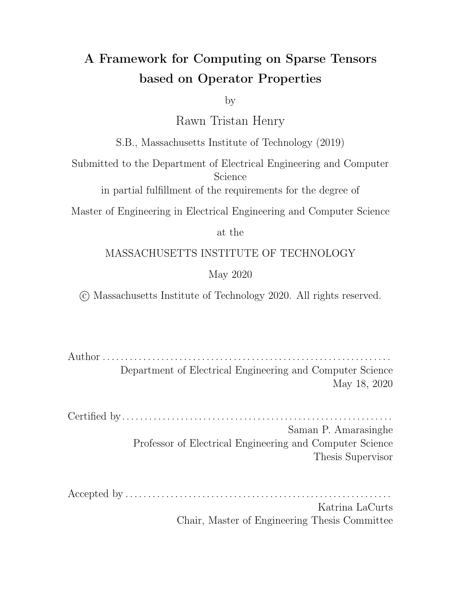only needs to initialize the reduction variable to0 then perform the reduction as normal.

3. Annihilator: If the reduction operator has an annihilator, then the code generator can insert code to short circuit only if the reduction is being performed into a scalar. That is, we cannot short circuit scatter reductions since it is possible that value updates would be missed by erroneously exiting early.

To check if the reduction is into a scalar, the code generator simply checks the ordering of the forall loops in concrete index notation and sets a ag indicating if the reduction is a scatter. Reductions into scalars will always maintain a loop ordering with all of the loops over free variables coming before all of the loops over reduction variables. If any loop over a reduction variable appears before a free variable loop, then a scatter is being performed. Figure 6-4 demonstrates loop orderings where short circuiting can and cannot be performed.

If the code generator detects that reduction is being done into a scalar, it will emit a condition in the reduction loop that checks if the value of the reduction variable is the annihilator of the reduction operator. If this is true, if will break out of the loop to early exit.

(a) A loop ordering where short circuiting is not possible

(b) A loop ordering where short circuiting is possible

Figure 6-4: Loop orderings for the expressio $A(i,j) = B(i;k) \wedge C(k,j)$  where I assume the reduction is being performed over the logical or operator. In the rst case, the code generator cannot short circuit because the reduction variable ppears before the free variable. However, in the second case short circuiting is possible since the loops appear with the free variables loops followed by the reduction variable loops.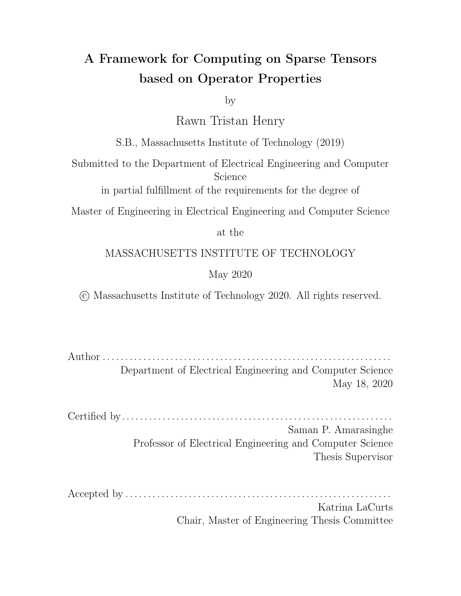## Chapter 7

### Operator API

I expose the iteration algebra explicitly in the TACO system. This is needed since the iteration algebra was decoupled from scalar computation performed inside the loop in this work and because the properties of the operators were not sucient to describe any iteration space. I also introduce a new class called the Properties class which is a super class for all of the properties described in Chapter 5. Lastly, I expose a class needed to dene new operators in taco as a new class called TensorOp. This class takes in a scalar implementation for a function and optionally an iteration algebra, properties of the operator and scalar implementations for special regions described in Chapter 4. This new class is an extension of the IndexNotation class in TACO.

#### 7.1 Iteration Algebra Class

The declarations below are the constructors that a user would use to create an IterationAlgebra expression.

Region(IndexExpr expr); Complement(IterationAlgebra alg); Intersect(IterationAlgebra left, IterationAlgebra right); Union(IterationAlgebra left, IterationAlgebra right); IterationAlgebra(IndexExpr expr);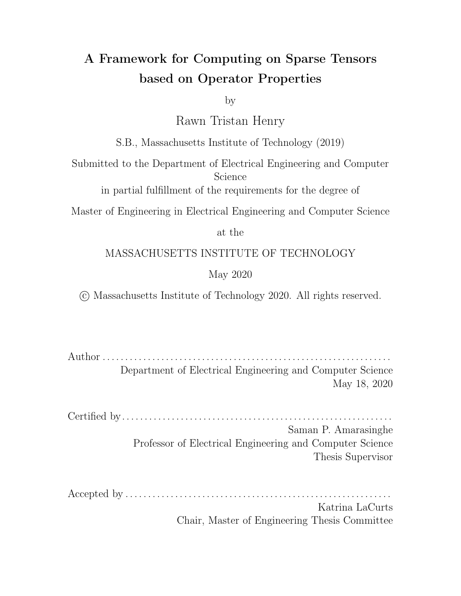These classes only have one method called accept which allows algorithms to be expressed over these data structures using the visitor pattern. I now show how a user could dene the symmetric dierence set algebra using the classes above.

Tensor<double> a("A", {NUM\_I}, {Compressed}); Tensor<double> b("x", {NUM\_I}, {Compressed});

IndexVar i, j; IterationAlgebra tensorUnion =  $Union(a(i), b(i));$  $Iterationalgebra$  noIntersect = Complement(Intersect(a(i), b(i)); IterationAlgebra symDiff = Intersect(tensorUnion, noIntersect); ...

The constructors are simple and self explanatory but I explain them brie y below:

Region(IndexExpr expr): This instantiates a region in the iteration space that one can intersect, union and complement. These regions can be arbitrary tensor expressions and their iteration algebras can be extracted when combining iteration spaces.

Complement(IterationAlgebra alg): Instantiates a class that represents the complement of the input iteration algebra. That is, represents complement(alg).

Intersect(IterationAlgebra left, IterationAlgebra right): Instantiates a class that represents the intersection of the left and right algebras.

Union(IterationAlgebra left, IterationAlgebra right): Instantiates a class that represents the union of the left and right algebras.

IterationAlgebra(IndexExpr expr): Instantiates an IterationAlgebra region from an IndexExpression.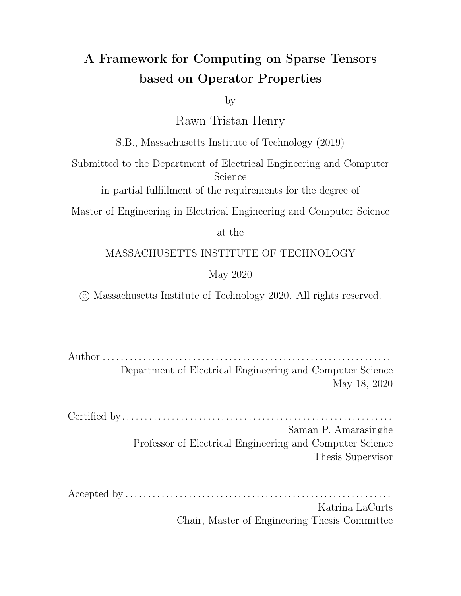#### 7.2 Properties

In addition to the algebra, the six properties explained in Chapter 5 were also introduced as new classes. Their class constructors are shown and explained below.

Commutative(std::vector<int>& positions): Instantiates a properties class that implies that the associated operator is commutative. The positions list is optional and omitting it implies that the operator is fully commutative (any of the elements can be swapped). However, if only some subset of the arguments to the operator can be swapped while maintaining the correctness of the operator, then their argument positions can be specied.

Associative(): Instantiates a properties class that implies that the associated operator is associative. The operator tagged with this property must be a binary operator.

Idempotent(): Instantiates a properties class that implies that the associated operator is idempotent. The operator tagged with this property must be a binary operator.

Annihilator(Literal annihilator, std::vector<int>& positions): lnstantiates a properties class that implies that associated operator has annihilator given by annihilator. The positions list can be left empty implying that any input can annihilate the operator. However, a list of positions in the operator's arguments can be specied to let the compiler know that only the inputs at these specic positions can annihilate an expression.

Identity(Literal identity, std::vector<int>& positions): Instantiates a properties class that implies that associated operator has identity given by identity. The positions list can be left empty implying that any input can annihilate the operator. However, a list of positions in the operator's arguments can be specied to let the compiler know that only the inputs at these speci c positions can annihilate an expression.

Distribute(TensorOp op1, TensorOp op2): Instantiates a properties class that informs the code generator that op1 distributes over op2.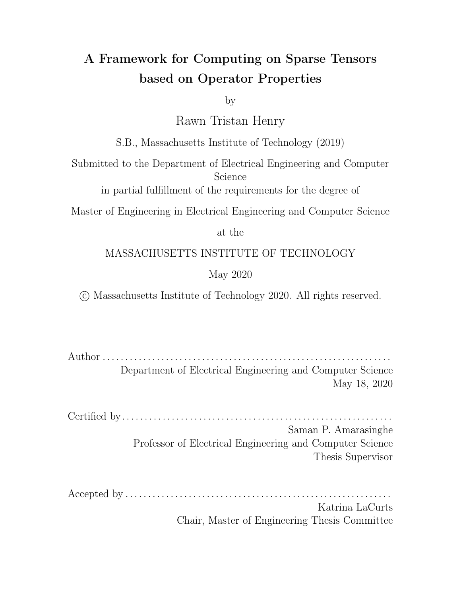### 7.3 TensorOp Class

Before I describe the TensorOp class, I rst introduce two typedefs to simplify the operator denition. I introduce an opImpl which is a functor that takes in some scalar expressions in the TACO IR and returns a single expression representing the computation that should occur using the input. Similarly, algebraImpl is also a functor that takes in some IndexExprs and returns an iteration algebra describing how the regions described by those IndexExprs should be iterated. These typedefs are shown below:

typedef std::function<ir::Expr(const std::vector<ir::Expr>&)> opImpl; typedef std::function<IterationAlgebra(const std::vector<IndexExpr>&)> algebraImpl;

Now I introduce the constructor of a TensorOp. The only required input to construct the operator is the lowererFunc.

TensorOp(std::string name, opImpl lowererFunc, algebraImpl algebraFunc, std::vector<Property> properties, std::map<std::vector<int>, opImpl> specialDefinitions = {});

The arguments of the TensorOp constructor are as follows:

- 1. name: This is the name of the operator that will be used when debugging. If no name is given, the compiler generates a random name for the operator.
- 2. lowererFunc: This is a functor that the lowerer calls to get the TACO imperative IR expressing the computation this operator performs. The functor takes in a vector of exprs that it combines based on the body in the IR. Part of the reason a functor is used is because it makes the issue of matching formals to actuals trivial. Additionally, a user has more exibility with a functor as they can analyze the arguments themselves and potentially return optimized IRs when certain arguments are certain values.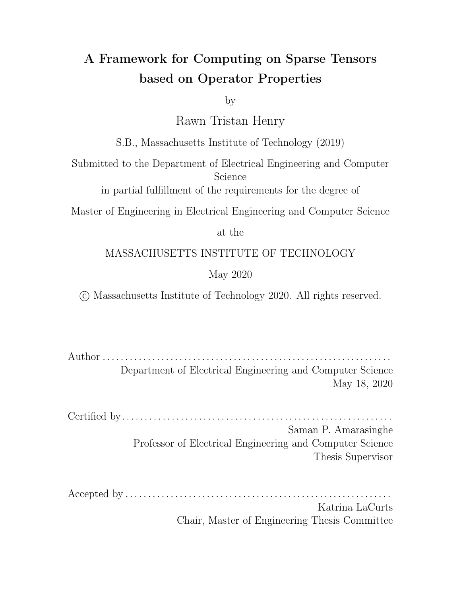- 3. algebraFunc: This is a functor used to create an iteration algebra from a vector of IndexExpr. If this is functor specied, TACO will not attempt to infer the algebra from the operator properties and will trust what the user gave. If this is not specied, and no properties are given, TACO will attempt to iterate over the entire space.
- 4. properties: A vector of properties which can be any of the six properties shown above. It is illegal to have duplicate properties in this vector.
- 5. specialDe nitions: A map containing a vector of indices that must be de ned and the corresponding computation to perform when these indices are dened. By default, when a tensor is exhausted or not involved in an expression TACO replaces it with the tensor's II value. However, if this region map species that some special operation needs to be performed when a tensor is de ned then the IR given by the user is used instead.

Once a TensorOp has been instantiated, there is one method that the user can call on the TensorOp which is shown below:

#### TensorOp operator()(IndexExprs&&... exprs);

The call operator is overloaded to take in an arbitrary number of index expressions. The order of the expressions passed in here is the same as the order of the expressions passed to the algebra and lowerer functions.

#### 7.4 API Example

Appendix A shows a comprehensive example using operators on a series of graph algorithms. However, I include a simple example here to show how one can compute the symmetric di erence between two tensors. This has a relatively complex algebra and illustates the use of both the algebra and the operator properties.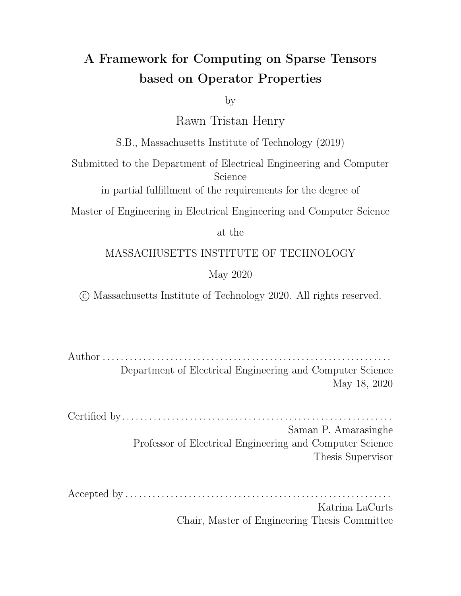```
// Define a functor to return the algebra for XOR.
struct XorAlgebraGenerator {
  IterationAlgebra operator()(const std::vector<IndexExpr>& regions) {
    // First, remove the intersection
    IterationAlgebra noIntersect = Complement(Intersect(regions[0], regions[1]));
    // Intersect the set without the intersection with the union of the sets to
    // remove the background.
    return Intersect(noIntersect, Union(regions[0], regions[1]));
 }
};
// Define a functor that actually performs XOR.
struct XorImpl {
  ir::Expr operator()(const std::vector<ir::Expr> &v) {
    return ir::Xor::make(v[0], v[1]);
 }
};
// Default fill value is 0.
Tensor<double> a("a", {NUM_I}, {Compressed});
Tensor<double> b("b", {NUM_I}, {Compressed});
Tensor<double> c("c", {NUM_I}, {Compressed});
...
```
IndexVar i;

Op xorOp(XorAlgebraGenerator(), XorImpl(), {Associative(), Commutative(), Identity(0)});  $c(i)$  = xorOp( $a(i)$ ,  $b(i)$ );

Figure 7-1 demonstrates the code generated for the example in this section. The algebra causes the compiler to skip computing when in the intersection of the two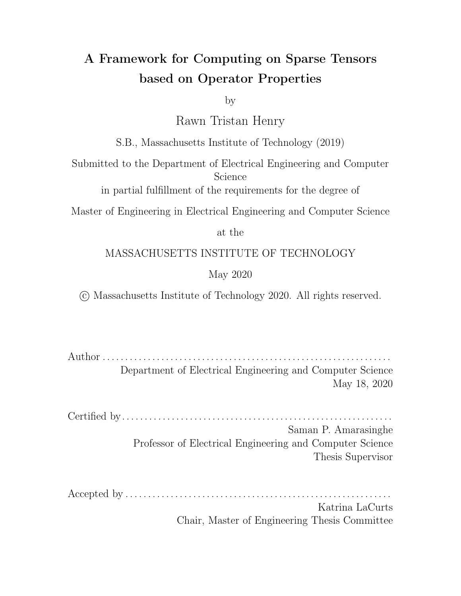tensors. This means that in the sparse case, the compiler never actually emits an xor operation since the loop structure can describe the operator.

Figure 7-1: Code for computing symmetric di erence with sparse tensors.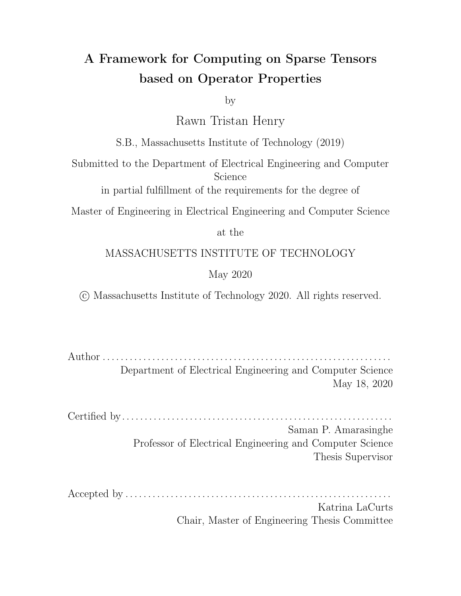### Chapter 8

### Evaluation

I carry out experiments to compare the performance of the code generated by this technique with other libraries for Breadth-First search. I chose to focus on this kernel since it is prevalent in the performance engineering literature. However, the generality of this work extends to more applications such as the Viterbi algorithm or general sparse array operations similar to numpy. This work also allows graph algorithms other than BFS to be expressible in TACO since custom operators, properties and general ll values allow users to dene arbitrary semi-rings. I demonstrate that this work has the potential to deliver good performance on these graph algorithms as TACO's scheduling language matures to support parallel sparse assembly.

#### 8.1 Methodology

The work in this thesis is implemented as an extension to the Tensor Algebra Compiler (TACO). To evaluate the performance of this work on CPUs, I compare against the optimized versions of the graph algorithms in the GAP Benchmark Suite [6], GraphIt (commit 7973721) and LAGraph 0.0.1 with SuiteSparse:GraphBLAS 3.2.2 as the back-end.

I used the ve graphs from the GAP Benchmark Suite as inputs to test BFS on each library. The graphs used are listed in table 8.1 and represents a diverse range of properties. The kron and uniform graphs are synthetic graphs while the twitter,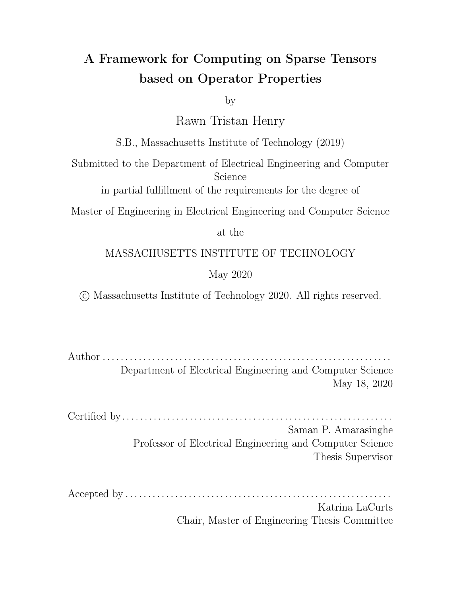road and web graphs are from real world data. The twitter, kron and web graphs are scale-free graphs with a low diameter. The road graph is smaller than the others but has a high diameter which can cause issues for some implementations. The road graph is also weighted so the weights were removed to evaluate the performance of BFS since they are unneeded. The uniform graph represents the worst case with respect to locality since every vertex has an equal probability of being a neighbor of any other vertex.

| Name        | <b>Description</b>             | # Vertices (M) | # Edges (M) | Degree | Degree Distribution |
|-------------|--------------------------------|----------------|-------------|--------|---------------------|
| Twitter     | <b>Twitter Follow links</b>    | 61.6           | 1.468.4     | 23.8   | power               |
| Web         | Web Crawl of the .sk Domain    | 50.6           | 1949.4      | 38.5   | power               |
| Road        | Distances of roads in the USA  | 23.9           | 58.3        | 2.4    | bounded             |
| <b>Kron</b> | Synthetic Kronecker Graph      | 134.2          | 2111.6      | 16     | power               |
| Urand       | Synthetic Uniform Random Graph | 134.2          | 2147.4      | 16     | normal              |

Table 8.1: Description of Graphs used in Evaluation

I use the timing method specied in the GAP Benchmark Suite for timing to time CPU codes. That is, I do not include the time to load the graphs into shared memory. For all graphs, I load a CSR and CSC version in memory to allow for direction optimization in each kernel without including the transpose time in the algorithm run time. Since BFS has a single source, I repeat the algorithm 64 times with random vertices and report the average time across those 64 runs in order to account for the variance of starting at di erent nodes. The random number generator used to pick start vertices has a xed seed so the same sequence of start vertices is picked for every framework tested. For LAGraph, the source vertices were generated using the GAP suite and stored in an Matrix Market le that the framework could read. Table 8.2 below summarizes the trials and sources for BFS.

| Algorithm $ $ Trials |    | Sources           |
|----------------------|----|-------------------|
| BFS.                 | 64 | 64 unique sources |

Table 8.2: Summary of timing method for each algorithm evaluated.

All CPU experiments are run on a dual-socket, 12-core with 24 threads, 2.5 GHz Intel Xeon E5-2680 v3 machine with 30 MB of L3 cache per socket and 128 GB of main memory, running Ubuntu 18.04.3 LTS. On CPU, I compile codes using g++ 7.5.0 with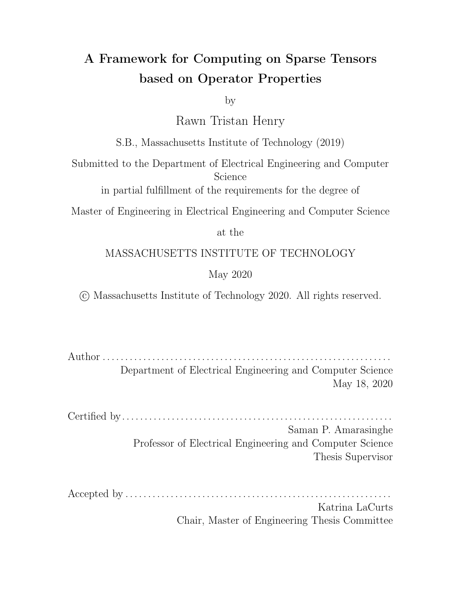the compiler ags-O3, -DNDEBUG march=native, -mtune=native, -ffast-math and -fopenmp. I usedstd::chrono::high\_resolution\_clock to record execution times on CPU. Correctness was veried by comparing against the reference version of the algorithm in the GAP Benchmark Suite.

#### 8.1.1 Discussion of performance

In this section, I rst compare the performance of TACO with and without the optimizations enabled by this work. I omit the road graph from this comparison since it has very long run times in both versions of TACO and it almost exclusively uses the SpVSpM kernel which does not take advantage of the masking and short circuiting capabilities introduced in this work. Figure 8-1 is a graph showing the performance of TACO on all of the graphs except road with and without the features of this work. This work is 5.08 times faster in the geomean compared to the prior version of TACO due to the ability to mask and short circuit.

Figure 8-1: Comparison of TACO on BFS with optimizations enabled by using the features in this work (blue) and without (red)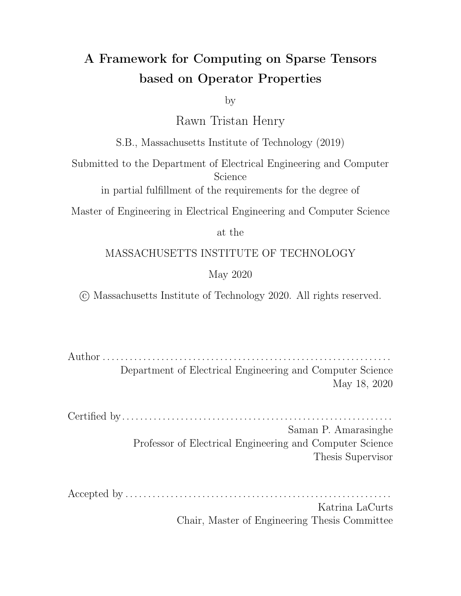| Graph          | Runtime (s) (lower is better) |         |            |             |  |
|----------------|-------------------------------|---------|------------|-------------|--|
|                | <b>GAP</b>                    | GraphIt | LAGraph    | <b>TACO</b> |  |
| <b>Twitter</b> | 0.260                         | 0.263   | 1.153      | 0.831       |  |
| Web            | 0.382                         | 0.486   | 1.325      | 2.212       |  |
| Road           | 0.328                         | 0.287   | 6.145      | 67.79       |  |
| Kron           | 0.393                         | 0.404   | <b>OOM</b> | 0.996       |  |
| <b>URand</b>   | 0.637                         | 1.038   | <b>OOM</b> | 1.653       |  |

Table 8.3: Average time in seconds for running BFS on each framework. The times are averaged after running 64 trials from the same start vertices across frameworks. OOM means the framework ran out of memory.

|                | Edge throughput (MTEPS) (higher is better) |      |                   |             |  |
|----------------|--------------------------------------------|------|-------------------|-------------|--|
| Graph          | <b>GAP</b>                                 |      | GraphIt   LAGraph | <b>TACO</b> |  |
| <b>Twitter</b> | 5648                                       | 5583 | 1274              | 1767        |  |
| Web            | 5103                                       | 4011 | 1471              | 881.3       |  |
| Road           | $152.6$ 203                                |      | 9.487             | 0.860       |  |
| Kron           | 5373                                       | 5227 | <b>OOM</b>        | 2120        |  |
| <b>URand</b>   | 3371                                       | 2069 | <b>OOM</b>        | 1299        |  |

Table 8.4: Million traversed edges per second (MTEPS) for each framework (Higher is better). OOM means the framework ran out of memory.

Table 8.3 and Table 8.4 shows the performance results obtained for Breadth-First search against state-of-the-art work. In terms of run time, TACO is slower on all of the graph algorithms with the GAP reference being the fastest. TACO was only able to beat LAGraph, which is a library for performing graph algorithms using linear algebra on the twitter graph. However, LAGraph failed to execute on the large graphs. The disparity in the run times can be explained by a few reasons:

- 1. when performing the top down step TACO must use a dense result whereas the other frameworks can maintain sparsity.
- 2. Before every top down step, the frontier must be converted into a sparse representation since both kernels give a dense output. This is done completely serially and takes one third to half of the total time to perform the top-down step.
- 3. The code generated by TACO has to use an atomic operation inside of the reduction loop in SpVSpM which induces another serial bottleneck as shown in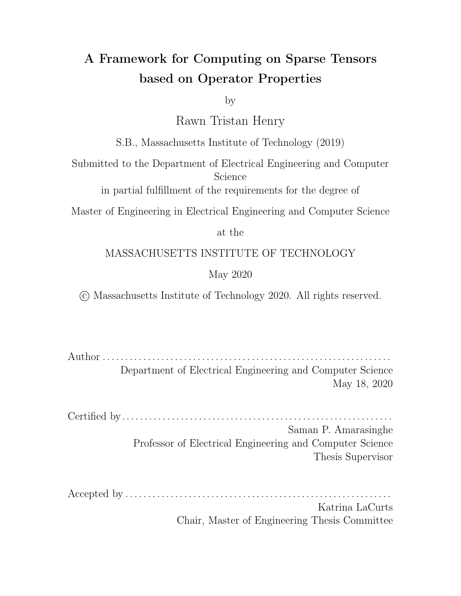Figure 8-2.

Figure 8-2: Code for the sparse vector sparse matrix kernel into a dense result. The sparse vector is x, the sparse matrix is A and the result isy.

The addition of sparse parallel assembly to TACO would help to solve these problems by removing both serial bottlenecks in the current kernel. Firstly, one would only pay the sparse to dense conversion once when initially switching from bottom up traversal to top down traversal instead of at the beginning of each top down traversal. This would be greatly bene cial since this is currently done completely serially. Additionally, a more general way to perform scatter reductions into a sparse result could potentially be free of locks as seen in the works of Azad and Buluc [3] which would further reduce the amount of serialization.

The results support the claim that the top down kernel is the much slower than bottom up. The road graph has a very small average number of neighbors so the frontier rarely becomes large enough for the direction to switch to pull during BFS execution. This explains why it exhibits such a long run time in comparison to all the other frameworks.

Finally, even if the SpVSpM kernel is rectied, the pull direction in the GAP suite is up to 3x faster than TACO on the same BFS step. The code format looks extremely similar where both iterate over the graphs and employ masking and short circuiting. However, GAP uses special data structures for BFS since it knows it is operating on booleans. Namely, GAP packs the bits manually inuint64 t s and performs bit manipulations to get and set bits in the frontier. Additionally, it leverages the fact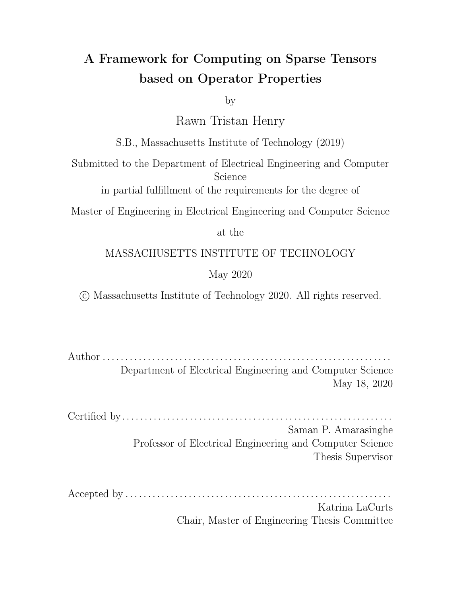that the graph is a boolean with no explicit zeros stored in the matrix so that it does not need to store a value indicating that an edge is present. The presence of an edge is implicitly inferred by the presence of a coordinate. Both of these features reduce the memory trac which is very bene cial to graph algorithms. These could potentially be supported in a TACO and exposed via the scheduling language, where a user can instruct TACO to pack larger integer types into smaller ones in general. Additionally, a scheduling or format primitive which instructs TACO that there are no explicit zeros in the tensor could enable it to omit storing the values of a boolean tensor. I leave implementing these features along with parallel sparse assembly as future work.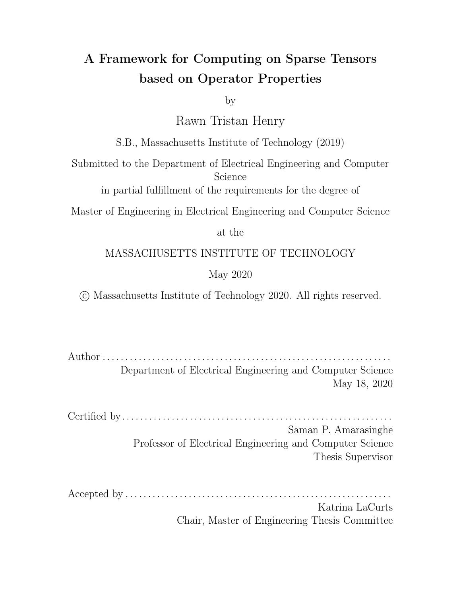### Chapter 9

### Related Work

Many researchers have worked on compilers to generate code for computing on sparse tensors. Recently, researchers have explored performing graph algorithms using sparse linear algebra computations over general semi-rings. I discuss prior work from both categories in this section since this work blends the two elds.

Sparse Compilers: Prior work on sparse linear algebra compilers forms the foundation of this approach. Works by Bik and Wijsho [7, 9] used a technique called guard encapsulation to transform code for computing on dense linear algebra into the analog sparse linear algebra code. Kotlyar et al. [23] soon followed with a relational algebra based framework that compiled e cient sparse matrix code from dense loops and a speci cation of the representation of the sparse matrix. Pugh and Shpeisman introduced SIPR [28] which was a new intermediate representation that separated the maintenance of the complicated sparse data structures from the actual matrix operations performed. Their new representation allowed for cost-analysis to predict program eciency allowing them to compile dense code into the equivalent ecient sparse code. There has been recent work to use a sparse polyhedral framework [33, 32] to emit ecient code for computing on sparse data structures. Generally, these strategies inspects and reorders the data at run-time and executes the original computation on the newly transformed data-structures. Most recently, the Tensor Algebra Compiler (TACO) [12, 20, 21] emits ecient code that computes on sparse and dense tensors. It uses a description of the format each tensor is stored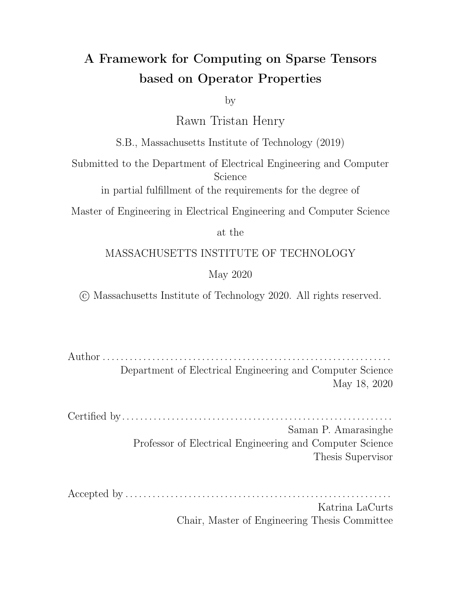in along with the computation to be performed to generate ecient tensor algebra code. TACO is great for tensor algebra operations falling in the usual  $; +)$  semiring but it does not generalize to arbitrary semi-rings and does not allow computation outside of semi-rings. I build on TACO in this work allowing generic operations and introducing properties that TACO can explicitly use to perform its transformations. This generality allows TACO to be used to compile codes for a wide range of linear algebra based graph algorithms.

Linear Algebra Graph Algorithms: Pregel [24] introduced the vertex-centric framework for thinking about graph algorithms. It relies on message passing to send data among the vertices in the graph and updates vertex state based on the messages received. The edge-centric model for graph computations was introduced by PowerGraph [16] to address performance and scalability issues with vertex-centrix model for scale-free graphs. The edge-centric model is conceptually split into three phases - Gather, Apply, Scatter (GAS) where information is rst gathered about adjacent vertices and edges to apply an update to the vertices which is then scattered to update data on adjacent edges. Lastly, linear algebra graph frameworks have been proposed. This began with work by Combinatorial BLAS [11] which exposes a small set of linear algebra primitives that target graph applications. One issue is that users often are unaware of how to express certain graph algorithms in linear algebra terms. GraphMat [34] attempts to bridge the gap between the vertex centric model and the linear algebra based frameworks by translating vertex centric graph algorithms to their linear algebra equivalents in the back end. This provides the productivity of the familiar vertex centric models without sacri cing performance. GraphBLAS [10] is an open source e ort to de ne building blocks for graph algorithms in the language of linear algebra. SuiteSparse [15] was the rst fully GraphBLAS compliant library and has a multi-threaded CPU version. GraphBLAST [39] is a GPU linear algebra based graph system inspired by GraphBLAS. It generalizes the concepts of semirings to allow users to express a wide range of graph algorithms using highly optimized kernels for operations on sparse matrices and vectors.

The current work on sparse compilers is very promising but it is restricted to one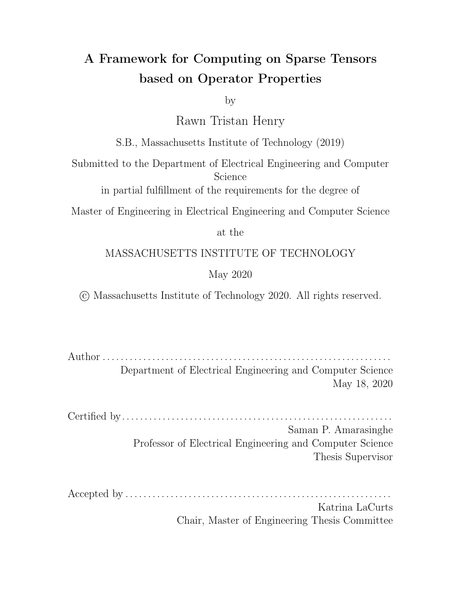semi-ring. In this work, I lift this restriction to allow the sparse compiler approach taken by TACO to work on arbitrary semi-rings by allowing the compiler to exploit the properties of the operators in the expression. This work also allows operations outside of semi-rings to be dened and generalizes the concept of iteration spaces introduced in TACO enabling new optimizations to be de ned that are bene cial to running graph algorithms.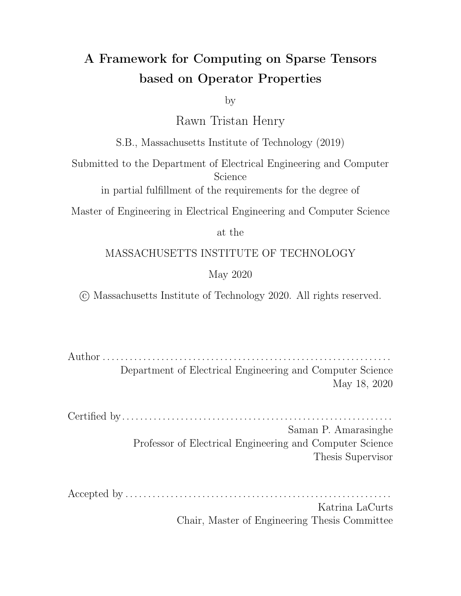## Chapter 10

### Conclusion and Future Work

This thesis presents a new framework for thinking about optimizations and operators on sparse tensors in terms of the operator properties and generalizes the concept of iteration spaces by introducing complements. I extended the iteration lattices from the previous work and I show how properties can allow a sparse tensor compiler to construct lattices and reason about the loop domains for reductions. I also introduce the concept of a general ll value to the compiler so that ll values no longer have to be just zero. The framework presented here can recreate general optimizations on graph algorithms in linear algebra but does not currently support sparse parallel assembly of tensor results which limits its performance on the graph algorithms tested. I believe that this work is a stepping stone to unlocking a sparse equivalent of numpy since it allows a wide range of operators to be supported eciently and allows optimizations to be uncovered by simply reasoning about the properties of the operators used in some computation.

Future work includes implementing support for custom tensor types in the compiler to complement the custom operators presented here. This would give users more exibility when describing algorithms. One instance is that with the sssp problem, it is possible to derive both path lengths and the actual source to target paths using one semiring instead of two [19]. One could also add support for sparse slicing to the compiler to match the kind of numpy-style slicing as well as generalize the notion of indices in index notation so that indices can be anything. This would allow TACO to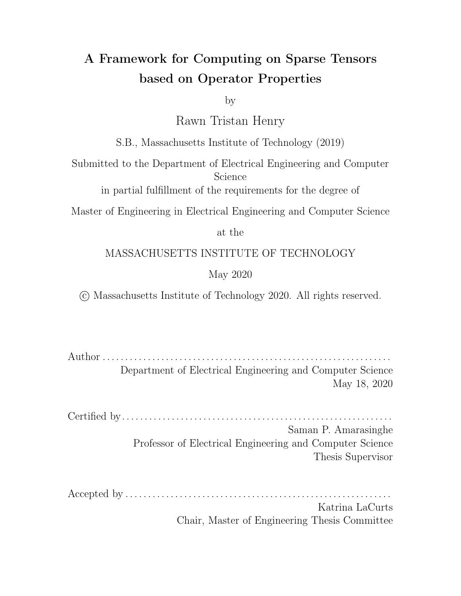be used in data science frameworks such as pandas as a backend and allow those users to benet from the ecient code that it generates. Lastly, one could allow TACO operators to be implemented in C/C++ code instead of in the TACO IR. This would make it easier for users already familiar with C to introduce new operators to the compiler allowing it to be easier to leverage the operator abstractions expressed in this thesis. On the scheduling side, it could be useful to include a scheduling primitive to pack smaller types such as that sinto larger types such as the 4\_t s. This could be bene cial for a sparse compiler since algorithms are usually memory bound and this could help the compiler emit wider sizes reads and writes so more data is moved with each instruction. Lastly, parallel sparse assembly would be very bene cial since it would give users much more exibility when using TACO's scheduling language.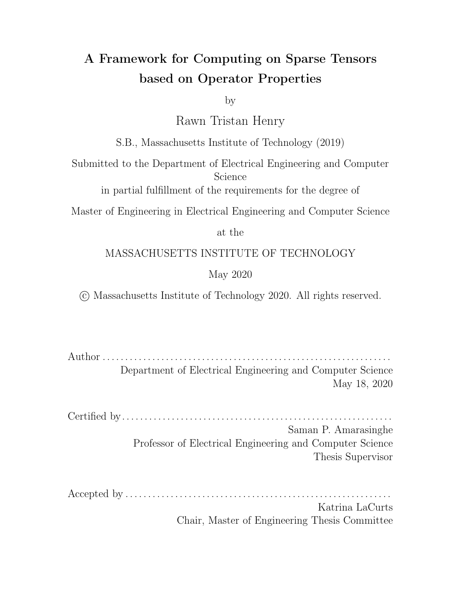# Appendix A

...

# Operator Implementations

### A.1 BFS Pull Implementation

```
struct BfsLower {
 ir::Expr operator()(const std::vector<ir::Expr> &v) {
   return v[0];
 }
};
struct BfsMaskAlg {
  IterationAlgebra operator()(const std::vector<IndexExpr>& regions) {
    return Intersect(regions[0], Complement(regions[1]));
 }
};
Tensor<double> A("A", {NUM_I, NUM_J}, CSR);
Tensor<double> f("f", {NUM_J}, {Dense});
Tensor<double> mask("mask", {NUM_I}, {Dense});
Tensor<double> v("v", {NUM_I}, {Dense});
```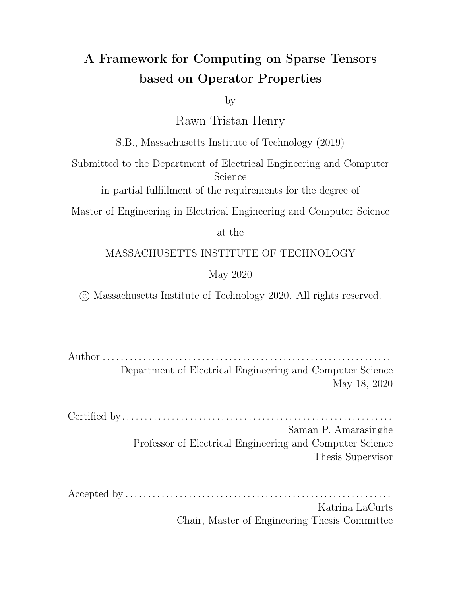```
A.pack();
f.pack();
mask.pack();
IndexVar i, j;
// Instantiate Operator
Op bfsMaskOp("bfsMask", BfsLower(), BfsMaskAlg());
IndexExpr bfsStep = bfsMaskOp(taco::And(A(i,j),f(j)), mask(i));
v(i) = taco::Reduction(taco::Or(), j, bfsStep);
```
IndexStmt stmt = v.getAssignment().concretize();

```
stmt = stmt.split(i, i0, i1, 16)
            .reorder(\{i0, i1, j\})
             .parallelize(i0, ParallelUnit::CPUThread, OutputRaceStrategy::NoRaces);
```
v.compile(stmt);

v.assemble();

v.compute();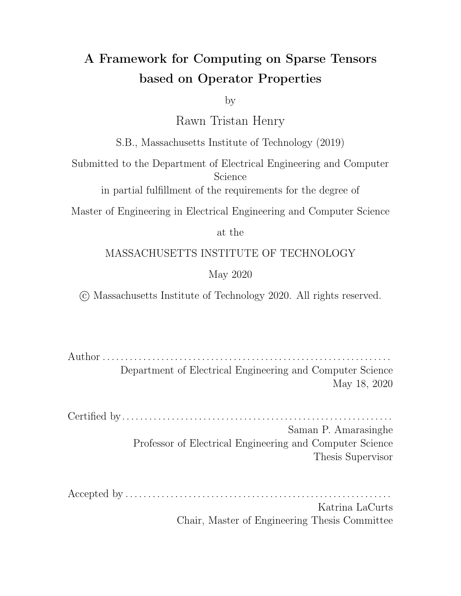### A.2 BFS Pull Implementation

```
Tensor<double> A("A", {NUM_I, NUM_J}, CSC);
Tensor<double> f("f", {NUM_J}, {Compressed});
Tensor<double> mask("mask", {NUM_I}, {Dense});
Tensor<double> v("v", {NUM_I}, {Dense});
...
A.pack();
f.pack();
mask.pack();
IndexVar i, j;
v(i) = \text{Reduction}(\text{taco}: 0r(), j, \text{taco}: \text{And}(A(i, j), f(j)));
IndexStmt stmt = v.getAssignment().concretize();
stmt = stmt.reorder(i,j).parallelize(j, taco::ParallelUnit::CPUThread,
                          taco:: OutputRaceStrategy:: Atomics);
```

```
v.compile(stmt);
v.assemble();
```

```
v.compute();
```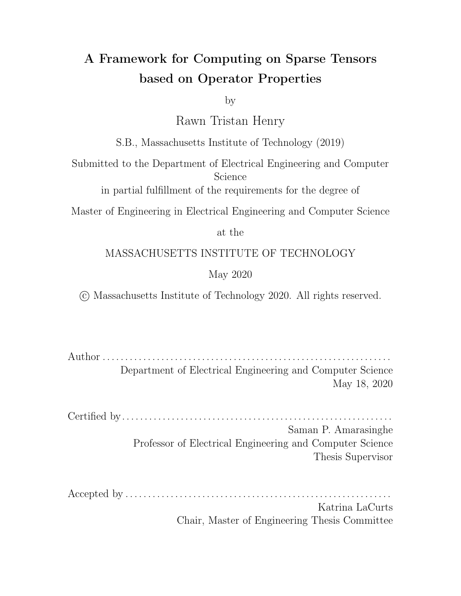## Bibliography

- [1] Martin Abadi, Paul Barham, Jianmin Chen, Zhifeng Chen, Andy Davis, Je rey Dean, Matthieu Devin, Sanjay Ghemawat, Geo rey Irving, Michael Isard, Manjunath Kudlur, Josh Levenberg, Rajat Monga, Sherry Moore, Derek G. Murray, Benoit Steiner, Paul Tucker, Vijay Vasudevan, Pete Warden, Martin Wicke, Yuan Yu, Xiaoqiang Zheng, Paul Barham, Jianmin Chen, Zhifeng Chen, Andy Davis, Je rey Dean, Matthieu Devin, Sanjay Ghemawat, Geo rey Irving, Michael Isard, Manjunath Kudlur, Josh Levenberg, Rajat Monga, Sherry Moore, Derek G. Murray, Benoit Steiner, Paul Tucker, Vijay Vasudevan, Pete Warden, Martin Wicke, Yuan Yu, and Xiaoqiang Zheng. TensorFlow: A system for large-scale machine learning. In USENIX Symposium on Operating Systems Design and Implementation, pages 265–283, 2016.
- [2] A. Azad, A. Buluç, and J. Gilbert. Parallel triangle counting and enumeration using matrix algebra. In 2015 IEEE International Parallel and Distributed Processing Symposium Workshop, pages 804–811, 2015.
- [3] Ariful Azad and Aydin Buluc. A work-e cient parallel sparse matrix-sparse vector multiplication algorithm, 2016.
- [4] S. Beamer, K. Asanovic, and D. Patterson. Locality exists in graph processing: Workload characterization on an ivy bridge server. In 2015 IEEE International Symposium on Workload Characterization, pages 56–65, 2015.
- [5] Scott Beamer, Krste Asanovi, and David Patterson. Direction-optimizing breadth-first search. In Proceedings of the International Conference on High Performance Computing, Networking, Storage and Analysis, SC '12, Washington, DC, USA, 2012. IEEE Computer Society Press.
- [6] Scott Beamer, Krste Asanovi, and David Patterson. The gap benchmark suite, 2015.
- [7] Aart J. C. Bik. Compiler Support for Sparse Matrix Computations. PhD thesis, 1996.
- [8] Aart J. C. Bik, Peter J. H. Brinkhaus, Peter M. W. Knijnenburg, and Harry A. G. Wijsho. The Automatic Generation of Sparse Primitives. ACM Transactions on Mathematical Software, 24(2):190–225, 1998.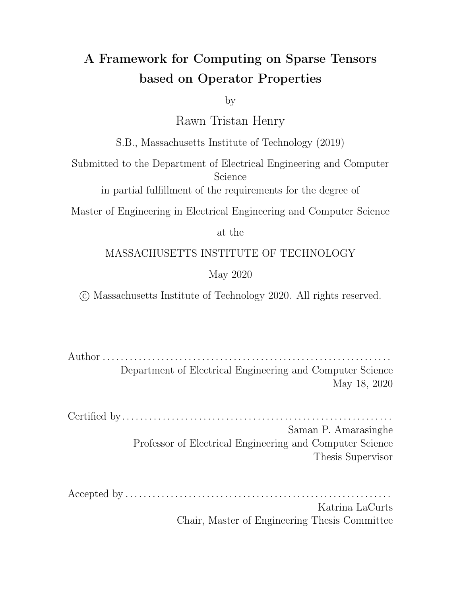- [9] Aart J. C. Bik and Harry A. G. Wijsho. Compilation Techniques for Sparse Matrix Computations. In International Conference on Supercomputing, pages 416–424. ACM, jul 1993.
- [10] Aydın Buluç, Tim Mattson, Scott McMillan, Jose Moreira, and Carl Yang. Design of the GraphBLAS api for c. Proceedings - 2017 IEEE 31st International Parallel and Distributed Processing Symposium Workshops, IPDPSW 2017, 0(0):643–652, 2017.
- [11] Aydin Buluç and John Gilbert. The combinatorial blas: Design, implementation, and applications. IJHPCA, 25:496–509, 12 2011.
- [12] Stephen Chou, Fredrik Kjolstad, and Saman Amarasinghe. Format abstraction for sparse tensor algebra compilers. Proc. ACM Program. Lang., 2(OOPSLA):123:1–123:30, October 2018.
- [13] Stephen Chou, Fredrik Kjolstad, and Saman Amarasinghe. Format abstraction for sparse tensor algebra compilers. Proceedings of the ACM on Programming Languages, 2(OOPSLA):123:1–123:30, November 2018.
- [14] Timothy A. Davis. Graph algorithms via suitesparse: Graphblas: triangle counting and k-truss. 2018 IEEE High Performance extreme Computing Conference (HPEC), pages 1–6, 2018.
- [15] Timothy A. Davis. Algorithm 1000: Suitesparse:graphblas: Graph algorithms in the language of sparse linear algebra. ACM Trans. Math. Softw., 45(4), December 2019.
- [16] Joseph E. Gonzalez, Yucheng Low, Haijie Gu, Danny Bickson, and Carlos Guestrin. Powergraph: Distributed graph-parallel computation on natural graphs. In Presented as part of the 10th USENIX Symposium on Operating Systems Design and Implementation (OSDI 12), pages 17–30, Hollywood, CA, 2012. USENIX.
- [17] Norman P. Jouppi, Cli Young, Nishant Patil, David A. Patterson, Gaurav Agrawal, Raminder Bajwa, Sarah Bates, Suresh Bhatia, Nan Boden, Al Borchers, Rick Boyle, Pierre-luc Cantin, Cli ord Chao, Chris Clark, Jeremy Coriell, Mike Daley, Matt Dau, Je rey Dean, Ben Gelb, Tara Vazir Ghaemmaghami, Rajendra Gottipati, William Gulland, Robert Hagmann, Richard C. Ho, Doug Hogberg, John Hu, Robert Hundt, Dan Hurt, Julian Ibarz, Aaron Ja ey, Alek Jaworski, Alexander Kaplan, Harshit Khaitan, Andy Koch, Naveen Kumar, Steve Lacy, James Laudon, James Law, Diemthu Le, Chris Leary, Zhuyuan Liu, Kyle Lucke, Alan Lundin, Gordon MacKean, Adriana Maggiore, Maire Mahony, Kieran Miller, Rahul Nagarajan, Ravi Narayanaswami, Ray Ni, Kathy Nix, Thomas Norrie, Mark Omernick, Narayana Penukonda, Andy Phelps, Jonathan Ross, Amir Salek, Emad Samadiani, Chris Severn, Gregory Sizikov, Matthew Snelham, Jed Souter, Dan Steinberg, Andy Swing, Mercedes Tan, Gregory Thorson,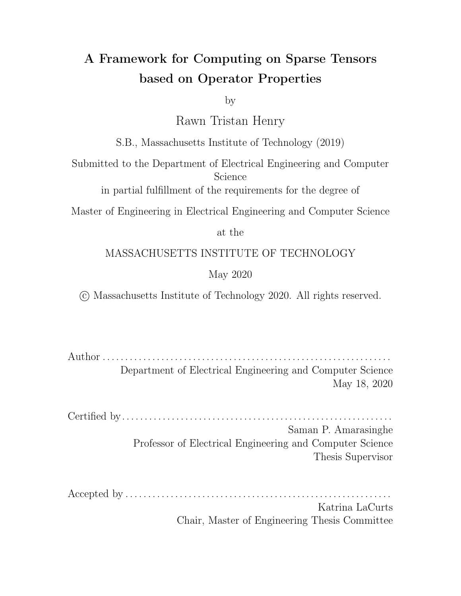Bo Tian, Horia Toma, Erick Tuttle, Vijay Vasudevan, Richard Walter, Walter Wang, Eric Wilcox, and Doe Hyun Yoon. In-datacenter performance analysis of a tensor processing unit. CoRR, abs/1704.04760, 2017.

- [18] Jeremy Kepner, Peter Aaltonen, David A. Bader, Aydin Buluç, Franz Franchetti, John R. Gilbert, Dylan Hutchison, Manoj Kumar, Andrew Lumsdaine, Henning Meyerhenke, Scott McMillan, José E. Moreira, John D. Owens, Carl Yang, Marcin Zalewski, and Timothy G. Mattson. Mathematical foundations of the graphblas. CoRR, abs/1606.05790, 2016.
- [19] Jeremy Kepner and John R. Gilbert. *Graph algorithms in the language of linear* algebra, volume 22. SIAM, 2011.
- [20] Fredrik Kjolstad, Peter Ahrens, Shoaib Kamil, and Saman Amarasinghe. Tensor algebra compilation with workspaces. pages 180–192, 2019.
- [21] Fredrik Kjolstad, Shoaib Kamil, Stephen Chou, David Lugato, and Saman Amarasinghe. The tensor algebra compiler. Proceedings of the ACM on Programming Languages, 1(OOPSLA):77:1–77:29, October 2017.
- [22] Fredrik Berg Kjolstad. Sparse Tensor Algebra Compilation. PhD thesis, Massachusetts Institute of Technology, 2020.
- [23] Vladimir Kotlyar, Keshav Pingali, and Paul Stodghill. A relational approach to the compilation of sparse matrix programs. In *Euro-Par Parallel Processing*, pages 318–327. Springer, Passau, Germany, 1997.
- [24] Grzegorz Malewicz, Matthew H. Austern, Aart J.C Bik, James C. Dehnert, Ilan Horn, Naty Leiser, and Grzegorz Czajkowski. Pregel: a system for largescale graph processing. In Proceedings of the 2010 ACM SIGMOD International Conference on Management of data, SIGMOD '10, pages 135–146, New York, NY, USA, 2010. ACM.
- [25] Tim Mattson, David Bader, Jon Berry, Aydın Buluç, Jack Dongarra, Christos Faloutsos, John Feo, John R. Gilbert, Joseph Gonzalez, Bruce Hendrickson, Jeremy Kepner, Charles E Leiserson, Andrew Lumsdaine, David Padua, Stephen Poole, Steve Reinhardt, Michael Stonebraker, Steve Wallach, and Andrew Yoo. Standards for Graph Algorithm Primitives. In IEEE High Performance Extreme Computing Conference, pages 1–2. IEEE, 2013.
- [26] Ravi Teja Mullapudi, Andrew Adams, Dillon Sharlet, Jonathan Ragan-Kelley, and Kayvon Fatahalian. Automatically scheduling halide image processing pipelines. ACM Trans. Graph., 35(4), July 2016.
- [27] Travis E. Oliphant. A quide to NumPy. Trelgol Publishing USA, 2006.
- [28] William Pugh and Tatiana Shpeisman. SIPR: A new framework for generating e cient code for sparse matrix computations. In International Workshop on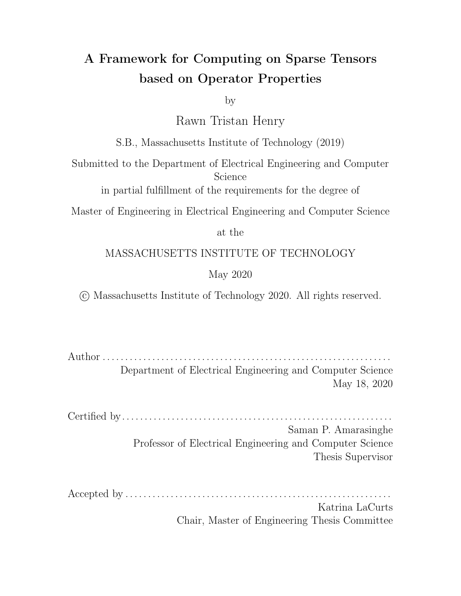Languages and Compilers for Parallel Computing, pages 213–229. Springer, aug 1998.

- [29] Jonathan Ragan-Kelley, Andrew Adams, Sylvain Paris, Marc Levoy, Saman Amarasinghe, and Frédo Durand. Decoupling algorithms from schedules for easy optimization of image processing pipelines. ACM Trans. Graph., 31(4), July 2012.
- [30] Ryan Senanayake, Fredrik Kjolstad, Changwan Hong, Shoaib Kamil, and Saman Amarasinghe. A unified iteration space transformation framework for sparse and dense tensor algebra, 2019.
- [31] Julian Shun and Guy E. Blelloch. Ligra: a lightweight graph processing framework for shared memory. In Alex Nicolau, Xiaowei Shen, Saman P. Amarasinghe, and Richard W. Vuduc, editors, ACM SIGPLAN Symposium on Principles and Practice of Parallel Programming, PPoPP '13, Shenzhen, China, February 23- 27, 2013, pages 135–146. ACM, 2013.
- [32] Michelle Strout, Geri Georg, and Catherine Olschanowsky. Set and relation manipulation for the sparse polyhedral framework. volume 7760, 09 2012.
- [33] Michelle Mills Strout, Mary Hall, and Catherine Olschanowsky. The Sparse Polyhedral Framework: Composing Compiler-Generated Inspector-Executor Code. Proceedings of the IEEE, 106(11):1921–1934, 2018.
- [34] Narayanan Sundaram, Nadathur Satish, Md. Mostofa Ali Patwary, Subramanya Dulloor, Satya Vadlamudi, Dipankar Das, and Pradeep Dubey. Graphmat: High performance graph analytics made productive. 03 2015.
- [35] E. Theodosis and P. Maragos. Analysis of the viterbi algorithm using tropical algebra and geometry. In 2018 IEEE 19th International Workshop on Signal Processing Advances in Wireless Communications (SPAWC), pages 1–5, 2018.
- [36] Scott Thibault, Lenore Mullin, and Matt Insall. Generating indexing functions of regularly sparse arrays for array compilers. 11 1996.
- [37] R.J. Valenza. Linear Algebra: An Introduction to Abstract Mathematics. Undergraduate Texts in Mathematics. Springer New York, 2012.
- [38] Yangzihao Wang, Yuechao Pan, Andrew A. Davidson, Yuduo Wu, Carl Yang, Leyuan Wang, Muhammad Osama, Chenshan Yuan, Weitang Liu, Andy T. Riffel, and John D. Owens. Gunrock: GPU graph analytics. CoRR, abs/1701.01170, 2017.
- [39] Carl Yang, Aydin Buluc, and John D. Owens. Graphblast: A high-performance linear algebra-based graph framework on the gpu, 2019.